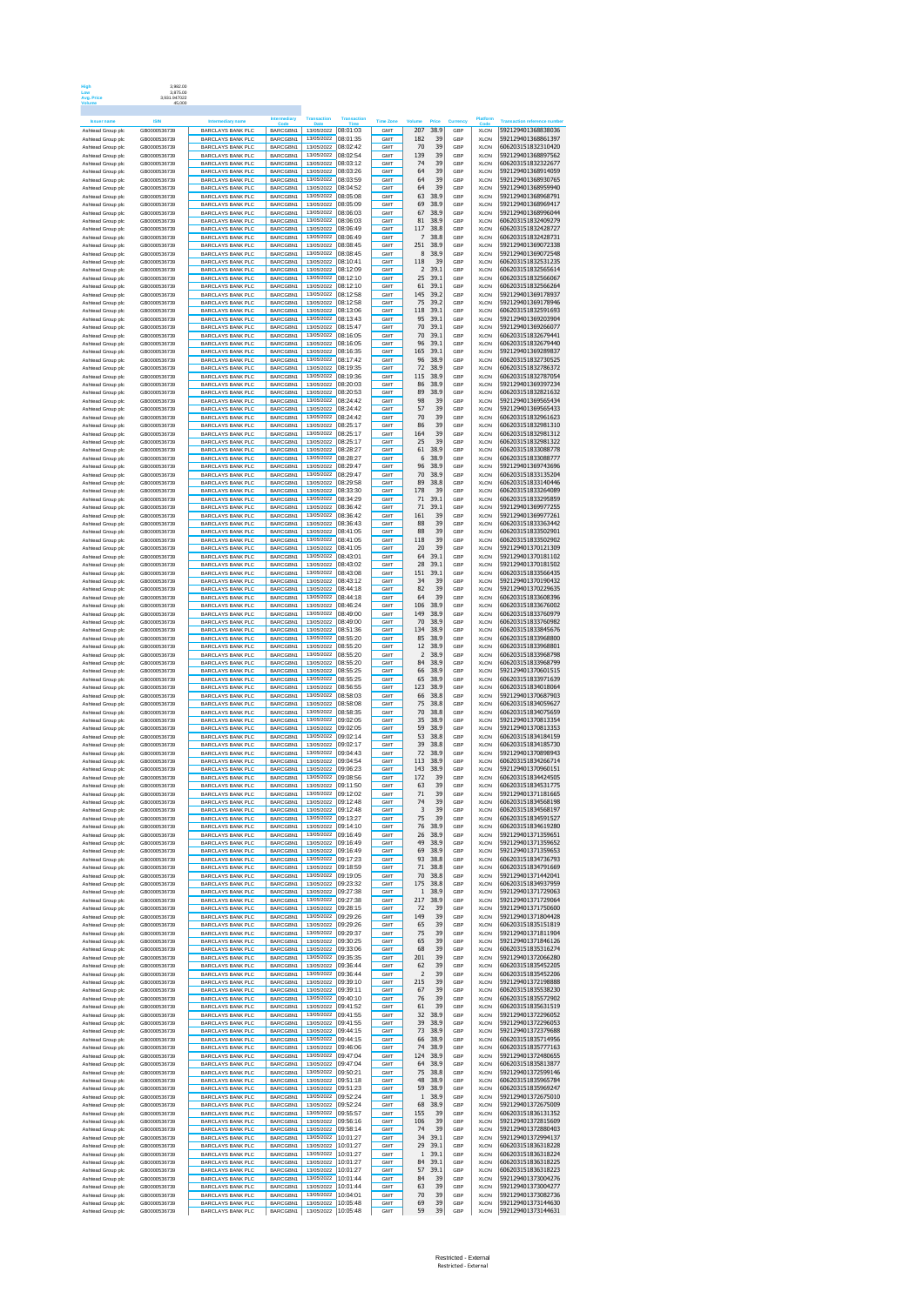| Avg. Price                             | 3.992.00<br>3.875.00<br>3,931.947022<br>45,000 |                                                      |                      |                                        |                      |                         |                         |               |                |                            |                                          |
|----------------------------------------|------------------------------------------------|------------------------------------------------------|----------------------|----------------------------------------|----------------------|-------------------------|-------------------------|---------------|----------------|----------------------------|------------------------------------------|
|                                        |                                                |                                                      | Intermediary         | <b>Transaction</b>                     | <b>Transaction</b>   |                         |                         |               |                | Platform                   |                                          |
| Ashtead Group plc                      | GB0000536739                                   | <b>BARCLAYS BANK PLC</b>                             | BARCGBN1             | 13/05/2022                             | 08:01:03             | Time Zone<br><b>GMT</b> | Volun<br>207            | Prior<br>38.9 | Currenc<br>GRP | <b>XLON</b>                | 592129401368838036                       |
| Ashtead Group plc                      | GB0000536739                                   | <b>BARCLAYS BANK PLC</b>                             | BARCGBN1             | 13/05/2022                             | 08:01:35             | GMT                     | 182                     | 39            | GBP            | <b>XLON</b>                | 592129401368861397                       |
| Ashtead Group plc                      | GB0000536739                                   | <b>BARCLAYS BANK PLC</b>                             | BARCGBN1             | 13/05/2022                             | 08:02:42             | GMT                     | 70                      | 39            | GBP            | <b>XLON</b>                | 606203151832310420                       |
| Ashtead Group plc                      | GB0000536739                                   | <b>BARCLAYS BANK PLC</b>                             | BARCGBN1             | 13/05/2022                             | 08:02:54             | GMT                     | 139                     | 39            | GBP            | <b>XLON</b>                | 592129401368897562                       |
| Ashtead Group plc                      | GB0000536739                                   | <b>BARCLAYS BANK PLC</b>                             | BARCGBN1             | 13/05/2022                             | 08:03:12             | GMT                     | 74                      | 39            | GBP            | <b>XLON</b>                | 606203151832322677                       |
| Ashtead Group plc                      | GB0000536739                                   | <b>BARCLAYS BANK PLC</b>                             | BARCGBN1             | 13/05/2022                             | 08:03:26             | GMT                     | 64                      | 39            | GBP            | <b>XLON</b>                | 592129401368914059                       |
| Ashtead Group plc                      | GB0000536739                                   | BARCLAYS BANK PLC                                    | BARCGBN1             | 13/05/2022                             | 08:03:59             | GMT                     | 64                      | 39            | GBP            | <b>XLON</b>                | 592129401368930765                       |
| Ashtead Group plc                      | GB0000536739                                   | <b>BARCLAYS BANK PLC</b>                             | BARCGBN1             | 13/05/2022                             | 08:04:52             | GMT                     | 64                      | 39            | GBP            | <b>XLON</b>                | 592129401368959940                       |
| Ashtead Group plc                      | GB0000536739                                   | <b>BARCLAYS BANK PLC</b>                             | BARCGBN1             | 13/05/2022                             | 08:05:08             | GMT                     | 63                      | 38.9          | GBP            | <b>XLON</b>                | 592129401368968791                       |
| Ashtead Group plc                      | GB0000536739                                   | <b>BARCLAYS BANK PLC</b>                             | BARCGBN1             | 13/05/2022                             | 08:05:09             | <b>GMT</b>              | 69                      | 38.9          | GBP            | <b>XLON</b>                | 592129401368969417                       |
| Ashtead Group plo                      | GB0000536739                                   | <b>BARCLAYS BANK PLC</b>                             | BARCGBN1             | 13/05/2022                             | 08:06:03             | GMT                     | 67                      | 38.9          | GBP            | <b>XLON</b>                | 592129401368996044                       |
| Ashtead Group plc                      | GB0000536739                                   | <b>BARCLAYS BANK PLC</b>                             | BARCGBN1             | 13/05/2022                             | 08:06:03             | <b>GMT</b>              | 81                      | 38.9          | GBP            | <b>XLON</b>                | 606203151832409279                       |
| Ashtead Group plc                      | GB0000536739                                   | <b>BARCLAYS BANK PLC</b>                             | BARCGBN1             | 13/05/2022                             | 08:06:49             | GMT                     | 117                     | 38.8          | GBP            | <b>XLON</b>                | 606203151832428727                       |
| Ashtead Group plc                      | GR0000536739                                   | <b>BARCLAYS BANK PLC</b>                             | BARCGBN1             | 13/05/2022                             | 08:06:49             | <b>GMT</b>              | 7                       | 38.8          | GBP            | <b>XLON</b>                | 606203151832428731                       |
| Ashtead Group plc                      | GB0000536739                                   | <b>BARCLAYS BANK PLC</b>                             | BARCGBN1             | 13/05/2022                             | 08:08:45             | GMT                     | 251                     | 38.9          | GBP            | <b>XLON</b>                | 592129401369072338                       |
| Ashtead Group plc                      | GB0000536739                                   | BARCLAYS BANK PLC                                    | BARCGBN1             | 13/05/2022                             | 08:08:45             | <b>GMT</b>              | 8                       | 38.9          | GBP            | <b>XLON</b>                | 592129401369072548                       |
| Ashtead Group plc                      | GB0000536739                                   | <b>BARCLAYS BANK PLC</b>                             | BARCGBN1             | 13/05/2022                             | 08:10:41             | GMT                     | 118                     | 39            | GBP            | <b>XLON</b>                | 606203151832531235                       |
| Ashtead Group plc                      | GR0000536739                                   | <b>BARCLAYS BANK PLC</b>                             | BARCGBN1             | 13/05/2022                             | 08:12:09             | <b>GMT</b>              | 2                       | 39.1          | GBP            | <b>XLON</b>                | 606203151832565614                       |
| Ashtead Group plo                      | GB0000536739                                   | <b>BARCLAYS BANK PLC</b>                             | BARCGBN1             | 13/05/2022                             | 08:12:10             | GMT                     | 25                      | 39.1          | GBP            | <b>XLON</b>                | 606203151832566067                       |
| Ashtead Group plc                      | GB0000536739                                   | <b>BARCLAYS BANK PLC</b>                             | BARCGBN1             | 13/05/2022                             | 08:12:10             | <b>GMT</b>              | 61                      | 39.1          | GBP            | <b>XLON</b>                | 606203151832566264                       |
| Ashtead Group plc                      | GB0000536739                                   | <b>BARCLAYS BANK PLC</b>                             | BARCGBN1             | 13/05/2022                             | 08:12:58             | GMT                     | 145                     | 39.2          | GBP            | <b>XLON</b>                | 592129401369178937                       |
| Ashtead Group plc                      | GB0000536739                                   | <b>BARCLAYS BANK PLC</b>                             | BARCGBN1             | 13/05/2022                             | 08:12:58             | GMT                     | 75                      | 39.2          | GBP            | <b>XLON</b>                | 592129401369178946                       |
| Ashtead Group plc                      | GB0000536739                                   | <b>BARCLAYS BANK PLC</b>                             | BARCGBN1             | 13/05/2022                             | 08:13:06             | GMT                     | 118                     | 39.1          | GBP            | <b>XLON</b>                | 606203151832591693                       |
| Ashtead Group plc                      | GB0000536739                                   | <b>BARCLAYS BANK PLC</b>                             | BARCGBN1             | 13/05/2022                             | 08:13:43             | GMT                     | 95                      | 39.1          | GBP            | <b>XLON</b>                | 592129401369203904                       |
| Ashtead Group plc                      | GB0000536739                                   | <b>BARCLAYS BANK PLC</b>                             | BARCGBN1             | 13/05/2022                             | 08:15:47             | GMT                     | 70                      | 39.1          | GBP            | <b>XLON</b>                | 592129401369266077                       |
| Ashtead Group plo                      | GB0000536739                                   | <b>BARCLAYS BANK PLC</b>                             | BARCGBN1             | 13/05/2022                             | 08:16:05             | GMT                     | 70                      | 39.1          | GBP            | <b>XLON</b>                | 606203151832679441                       |
| Ashtead Group plc                      | GB0000536739                                   | <b>BARCLAYS BANK PLC</b>                             | BARCGBN1             | 13/05/2022                             | 08:16:05             | GMT                     | 96                      | 39.1          | GBP            | <b>XLON</b>                | 606203151832679440                       |
| Ashtead Group plc                      | GB0000536739                                   | <b>BARCLAYS BANK PLC</b>                             | BARCGBN1             | 13/05/2022                             | 08:16:35             | GMT                     | 165                     | 39.1          | GBP            | <b>XLON</b>                | 592129401369289837                       |
| Ashtead Group plc                      | GB0000536739                                   | <b>BARCLAYS BANK PLC</b>                             | BARCGBN1             | 13/05/2022                             | 08:17:42             | GMT                     | 96                      | 38.9          | GBP            | <b>XLON</b>                | 606203151832730525                       |
| Ashtead Group plc                      | GB0000536739                                   | <b>BARCLAYS BANK PLC</b>                             | BARCGBN1             | 13/05/2022                             | 08:19:35             | GMT                     | 72                      | 38.9          | GBP            | <b>XLON</b>                | 606203151832786372                       |
| Ashtead Group plc                      | GB0000536739                                   | <b>BARCLAYS BANK PLC</b>                             | BARCGBN1             | 13/05/2022                             | 08:19:36             | GMT                     | 115                     | 38.9          | GBP            | <b>XLON</b>                | 606203151832787054                       |
| Ashtead Group plc                      | GB0000536739                                   | <b>BARCLAYS BANK PLC</b>                             | BARCGBN1             | 13/05/2022                             | 08:20:03             | GMT                     | 86                      | 38.9          | GBP            | <b>XLON</b>                | 592129401369397234                       |
| Ashtead Group plc                      | GB0000536739                                   | <b>BARCLAYS BANK PLC</b>                             | BARCGBN1             | 13/05/2022                             | 08:20:53             | GMT                     | 89                      | 38.9          | GBP            | <b>XLON</b>                | 606203151832821632                       |
| Ashtead Group plc                      | GB0000536739                                   | <b>BARCLAYS BANK PLC</b>                             | BARCGBN1             | 13/05/2022                             | 08:24:42             | GMT                     | 98                      | 39            | GBP            | <b>XLON</b>                | 592129401369565434                       |
| Ashtead Group plc                      | GB0000536739                                   | <b>BARCLAYS BANK PLC</b>                             | BARCGBN1             | 13/05/2022                             | 08:24:42             | <b>GMT</b>              | 57                      | 39            | GBP            | <b>XLON</b>                | 592129401369565433                       |
| Ashtead Group plc                      | GB0000536739                                   | <b>BARCLAYS BANK PLC</b>                             | BARCGBN1             | 13/05/2022                             | 08:24:42             | GMT                     | 70                      | 39            | GBP            | <b>XLON</b>                | 606203151832961623                       |
| Ashtead Group plc                      | GB0000536739                                   | BARCLAYS BANK PLC                                    | BARCGBN1             | 13/05/2022                             | 08:25:17             | <b>GMT</b>              | 86                      | 39            | GBP            | <b>XLON</b>                | 606203151832981310                       |
| Ashtead Group plc                      | GB0000536739                                   | <b>BARCLAYS BANK PLC</b>                             | BARCGBN1             | 13/05/2022                             | 08:25:17             | GMT                     | 164                     | 39            | GBP            | <b>XLON</b>                | 606203151832981312                       |
| Ashtead Group plc                      | GR0000536739                                   | <b>BARCLAYS BANK PLC</b>                             | BARCGBN1             | 13/05/2022                             | 08:25:17             | <b>GMT</b>              | 25                      | 39            | GBP            | <b>XLON</b>                | 606203151832981322                       |
| Ashtead Group plc                      | GB0000536739                                   | <b>BARCLAYS BANK PLC</b>                             | BARCGBN1             | 13/05/2022                             | 08:28:27             | GMT                     | 61                      | 38.9          | GBP            | <b>XLON</b>                | 606203151833088778                       |
|                                        | GB0000536739                                   | BARCLAYS BANK PLC                                    | BARCGBN1             | 13/05/2022                             | 08:28:27             | <b>GMT</b>              | 6                       | 38.9          | GBP            | <b>XLON</b>                | 606203151833088777                       |
| Ashtead Group plc<br>Ashtead Group plc | GB0000536739<br>GR0000536739                   | <b>BARCLAYS BANK PLC</b>                             | BARCGBN1             | 13/05/2022                             | 08:29:47<br>08:29:47 | GMT                     | 96<br>70                | 38.9<br>38.9  | GBP            | <b>XLON</b>                | 592129401369743696<br>606203151833135204 |
| Ashtead Group plc<br>Ashtead Group pld | GB0000536739                                   | <b>BARCLAYS BANK PLC</b><br><b>BARCLAYS BANK PLC</b> | BARCGBN1<br>BARCGBN1 | 13/05/2022<br>13/05/2022<br>13/05/2022 | 08:29:58             | <b>GMT</b><br>GMT       | 89                      | 38.8          | GBP<br>GBP     | <b>XLON</b><br><b>XLON</b> | 606203151833140446                       |
| Ashtead Group plc                      | GB0000536739                                   | <b>BARCLAYS BANK PLC</b>                             | BARCGBN1             | 13/05/2022                             | 08:33:30             | GMT                     | 178                     | 39            | GBP            | <b>XLON</b>                | 606203151833264089                       |
| Ashtead Group plc                      | GB0000536739                                   | <b>BARCLAYS BANK PLC</b>                             | BARCGBN1             |                                        | 08:34:29             | GMT                     | 71                      | 39.1          | GBP            | <b>XLON</b>                | 606203151833295859                       |
| Ashtead Group plc                      | GB0000536739                                   | <b>BARCLAYS BANK PLC</b>                             | BARCGBN1             | 13/05/2022                             | 08:36:42             | GMT                     | 71                      | 39.1          | GBP            | <b>XLON</b>                | 592129401369977255                       |
| Ashtead Group plc                      | GB0000536739                                   | <b>BARCLAYS BANK PLC</b>                             | BARCGBN1             | 13/05/2022                             | 08:36:42             | GMT                     | 161                     | 39            | GBP            | <b>XLON</b>                | 592129401369977261                       |
| Ashtead Group plc                      | GB0000536739                                   | <b>BARCLAYS BANK PLC</b>                             | BARCGBN1             | 13/05/2022                             | 08:36:43             | GMT                     | 88                      | 39            | GBP            | <b>XLON</b>                | 606203151833363442                       |
| Ashtead Group plc                      | GB0000536739                                   | <b>BARCLAYS BANK PLC</b>                             | BARCGBN1             | 13/05/2022                             | 08:41:05             | GMT                     | 88                      | 39            | GBP            | <b>XLON</b>                | 606203151833502901                       |
| Ashtead Group plo                      | GB0000536739                                   | <b>BARCLAYS BANK PLC</b>                             | BARCGBN1             | 13/05/2022                             | 08:41:05             | GMT                     | 118                     | 39            | GBP            | <b>XLON</b>                | 606203151833502902                       |
| Ashtead Group plc                      | GB0000536739                                   | <b>BARCLAYS BANK PLC</b>                             | BARCGBN1             | 13/05/2022                             | 08:41:05             | GMT                     | 20                      | 39            | GBP            | <b>XLON</b>                | 592129401370121309                       |
| Ashtead Group plc                      | GB0000536739                                   | <b>BARCLAYS BANK PLC</b>                             | BARCGBN1             | 13/05/2022                             | 08:43:01             | GMT                     | 64                      | 39.1          | GBP            | <b>XLON</b>                | 592129401370181102                       |
| Ashtead Group plc                      | GB0000536739                                   | <b>BARCLAYS BANK PLC</b>                             | BARCGBN1             | 13/05/2022                             | 08:43:02             | GMT                     | 28                      | 39.1          | GBP            | <b>XLON</b>                | 592129401370181502                       |
| Ashtead Group plc                      | GB0000536739                                   | <b>BARCLAYS BANK PLC</b>                             | BARCGBN1             | 13/05/2022                             | 08:43:08             | GMT                     | 151                     | 39.1          | GBP            | <b>XLON</b>                | 606203151833566435                       |
| Ashtead Group plc                      | GB0000536739                                   | <b>BARCLAYS BANK PLC</b>                             | BARCGBN1             | 13/05/2022                             | 08:43:12             | GMT                     | 34                      | 39            | GBP            | <b>XLON</b>                | 592129401370190432                       |
| Ashtead Group plc                      | GB0000536739                                   | <b>BARCLAYS BANK PLC</b>                             | BARCGBN1             | 13/05/2022                             | 08:44:18             | GMT                     | 82                      | 39            | GBP            | <b>XLON</b>                | 592129401370229635                       |
| Ashtead Group plc                      | GB0000536739                                   | <b>BARCLAYS BANK PLC</b>                             | BARCGBN1             | 13/05/2022                             | 08:44:18             | <b>GMT</b>              | 64                      | 39            | GBP            | <b>XLON</b>                | 606203151833608396                       |
| Ashtead Group plc                      | GB0000536739                                   | <b>BARCLAYS BANK PLC</b>                             | BARCGBN1             | 13/05/2022                             | 08:46:24             | GMT                     | 106                     | 38.9          | GBP            | <b>XLON</b>                | 606203151833676002                       |
| Ashtead Group plc                      | GB0000536739                                   | <b>BARCLAYS BANK PLC</b>                             | BARCGBN1             | 13/05/2022                             | 08:49:00             | <b>GMT</b>              | 149                     | 38.9          | GBP            | <b>XLON</b>                | 606203151833760979                       |
| Ashtead Group plc                      | GB0000536739                                   | <b>BARCLAYS BANK PLC</b>                             | BARCGBN1             | 13/05/2022                             | 08:49:00             | GMT                     | 70                      | 38.9          | GBP            | <b>XLON</b>                | 606203151833760982                       |
| Ashtead Group plc                      | GB0000536739                                   | <b>BARCLAYS BANK PLC</b>                             | BARCGBN1             | 13/05/2022                             | 08:51:36             | <b>GMT</b>              | 134                     | 38.9          | GBP            | <b>XLON</b>                | 606203151833845676                       |
| Ashtead Group plc                      | GB0000536739                                   | <b>BARCLAYS BANK PLC</b>                             | BARCGBN1             | 13/05/2022                             | 08:55:20             | GMT                     | 85                      | 38.9          | GBP            | <b>XLON</b>                | 606203151833968800                       |
| Ashtead Group plc                      | GB0000536739                                   | <b>BARCLAYS BANK PLC</b>                             | BARCGBN1             | 13/05/2022                             | 08:55:20             | <b>GMT</b>              | 12                      | 38.9          | GBP            | <b>XLON</b>                | 606203151833968801                       |
| Ashtead Group plc                      | GB0000536739                                   | <b>BARCLAYS BANK PLC</b>                             | BARCGBN1             | 13/05/2022                             | 08:55:20             | GMT                     | $\overline{\mathbf{2}}$ | 38.9          | GBP            | <b>XLON</b>                | 606203151833968798                       |
| Ashtead Group plc                      | GB0000536739                                   | <b>BARCLAYS BANK PLC</b>                             | BARCGBN1             | 13/05/2022                             | 08:55:20             | <b>GMT</b>              | 84                      | 38.9          | GBP            | <b>XLON</b>                | 606203151833968799                       |
| Ashtead Group plc                      | GB0000536739                                   | <b>BARCLAYS BANK PLC</b>                             | BARCGBN1             | 13/05/2022                             | 08:55:25             | GMT                     | 66                      | 38.9          | GBP            | <b>XLON</b>                | 592129401370601515                       |
| Ashtead Group plc                      | GB0000536739                                   | <b>BARCLAYS BANK PLC</b>                             | BARCGBN1             | 13/05/2022                             | 08:55:25             | <b>GMT</b>              | 65                      | 38.9          | GBP            | <b>XLON</b>                | 606203151833971639                       |
| Ashtead Group plc                      | GB0000536739                                   | <b>BARCLAYS BANK PLC</b>                             | BARCGBN1             | 13/05/2022                             | 08:56:55             | GMT                     | 123                     | 38.9          | GBP            | <b>XLON</b>                | 606203151834018064                       |
| Ashtead Group plc                      | GB0000536739                                   | <b>BARCLAYS BANK PLC</b>                             | BARCGBN1             | 13/05/2022                             | 08:58:03             | GMT                     | 66                      | 38.8          | GBP            | <b>XLON</b>                | 592129401370687903                       |
| Ashtead Group plc                      | GB0000536739                                   | <b>BARCLAYS BANK PLC</b>                             | BARCGBN1             | 13/05/2022                             | 08:58:08             | GMT                     | 75                      | 38.8          | GBP            | <b>XLON</b>                | 606203151834059627                       |
| Ashtead Group plc                      | GB0000536739                                   | <b>BARCLAYS BANK PLC</b>                             | BARCGBN1             | 13/05/2022                             | 08:58:35             | GMT                     | 70                      | 38.8          | GBP            | <b>XLON</b>                | 606203151834075659                       |
| Ashtead Group plc                      | GB0000536739                                   | <b>BARCLAYS BANK PLC</b>                             | BARCGBN1             | 13/05/2022                             | 09:02:05             | GMT                     | 35                      | 38.9          | GBP            | <b>XLON</b>                | 592129401370813354                       |
| Ashtead Group plc                      | GB0000536739                                   | <b>BARCLAYS BANK PLC</b>                             | BARCGBN1             | 13/05/2022                             | 09:02:05             | GMT                     | 59                      | 38.9          | GBP            | <b>XLON</b>                | 592129401370813353                       |
| Ashtead Group plc                      | GB0000536739                                   | <b>BARCLAYS BANK PLC</b>                             | BARCGBN1             | 13/05/2022                             | 09:02:14             | GMT                     | 53                      | 38.8          | GBP            | <b>XLON</b>                | 606203151834184159                       |
| Ashtead Group plo                      | GB0000536739                                   | <b>BARCLAYS BANK PLC</b>                             | BARCGBN1             | 13/05/2022                             | 09:02:17             | GMT                     | 39                      | 38.8          | GBP            | <b>XLON</b>                | 606203151834185730                       |
| Ashtead Group plc                      | GB0000536739                                   | <b>BARCLAYS BANK PLC</b>                             | BARCGBN1             | 13/05/2022                             | 09:04:43             | GMT                     | 72                      | 38.9          | GBP            | <b>XLON</b>                | 592129401370898943                       |
| Ashtead Group plc                      | GB0000536739                                   | <b>BARCLAYS BANK PLC</b>                             | BARCGBN1             | 13/05/2022                             | 09:04:54             | GMT                     | 113                     | 38.9          | GBP            | <b>XLON</b>                | 606203151834266714                       |
| Ashtead Group plc                      | GB0000536739                                   | <b>BARCLAYS BANK PLC</b>                             | BARCGBN1             | 13/05/2022                             | 09:06:23             | GMT                     | 143                     | 38.9          | GBP            | <b>XLON</b>                | 592129401370960151                       |
| Ashtead Group plc                      | GB0000536739                                   | <b>BARCLAYS BANK PLC</b>                             | BARCGBN1             | 13/05/2022                             | 09:08:56             | GMT                     | 172                     | 39            | GBP            | <b>XLON</b>                | 606203151834424505                       |
| Ashtead Group plc                      | GB0000536739                                   | <b>BARCLAYS BANK PLC</b>                             | BARCGBN1             | 13/05/2022 09:11:50                    |                      | <b>GMT</b>              | 63                      | 39            | GBP            | <b>XLON</b>                | 606203151834531775                       |
| Ashtead Group plc                      | GB0000536739                                   | <b>BARCLAYS BANK PLC</b>                             | BARCGBN1             | 13/05/2022 09:12:02                    |                      | GMT                     | 71                      | 39            | GBP            | <b>XLON</b>                | 592129401371181665                       |
| Ashtead Group plc                      | GB0000536739                                   | BARCLAYS BANK PLC                                    | BARCGBN1             | 13/05/2022                             | 09:12:48             | <b>GMT</b>              | 74                      | 39            | GBP            | <b>XLON</b>                | 606203151834568198                       |
| Ashtead Group plc                      | GB0000536739                                   | <b>BARCLAYS BANK PLC</b>                             | BARCGBN1             | 13/05/2022                             | 09:12:48             | GMT                     | 3                       | 39            | GBP            | <b>XLON</b>                | 606203151834568197                       |
| Ashtead Group plc                      | GB0000536739                                   | <b>BARCLAYS BANK PLC</b>                             | BARCGBN1             | 13/05/2022                             | 09:13:27             | <b>GMT</b>              | 75                      | 39            | GBP            | <b>XLON</b>                | 606203151834591527                       |
| Ashtead Group plc                      | GB0000536739                                   | <b>BARCLAYS BANK PLC</b>                             | BARCGBN1             | 13/05/2022                             | 09:14:10             | GMT                     | 76                      | 38.9          | GBP            | <b>XLON</b>                | 606203151834619280                       |
| Ashtead Group plc                      | GB0000536739                                   | <b>BARCLAYS BANK PLC</b>                             | BARCGBN1             | 13/05/2022                             | 09:16:49             | <b>GMT</b>              | 26                      | 38.9          | GBP            | <b>XLON</b>                | 592129401371359651                       |
| Ashtead Group plc                      | GB0000536739                                   | <b>BARCLAYS BANK PLC</b>                             | BARCGBN1             | 13/05/2022                             | 09:16:49             | GMT                     | 49                      | 38.9          | GBP            | <b>XLON</b>                | 592129401371359652                       |
| Ashtead Group plc                      | GR0000536739                                   | <b>BARCLAYS BANK PLC</b>                             | BARCGBN1             | 13/05/2022                             | 09.16.49             | <b>GMT</b>              | 69                      | 38.9          | GBP            | <b>XLON</b>                | 592129401371359653                       |
| Ashtead Group plc                      | GB0000536739                                   | <b>BARCLAYS BANK PLC</b>                             | BARCGBN1             | 13/05/2022                             | 09:17:23             | GMT                     | 93                      | 38.8          | GBP            | <b>XLON</b>                | 606203151834736793                       |
| Ashtead Group plc                      | GR0000536739                                   | BARCLAYS BANK PLC                                    | BARCGBN1             | 13/05/2022                             | 09:18:59             | <b>GMT</b>              | 71                      | 38.8          | GBP            | <b>XLON</b>                | 606203151834791669                       |
| Ashtead Group plc                      | GB0000536739                                   | <b>BARCLAYS BANK PLC</b>                             | BARCGBN1             | 13/05/2022                             | 09:19:05             | GMT                     | 70                      | 38.8          | GBP            | <b>XLON</b>                | 592129401371442041                       |
| Ashtead Group plc                      | GB0000536739                                   | <b>BARCLAYS BANK PLC</b>                             | BARCGBN1             | 13/05/2022 09:23:32                    | 09:27:38             | <b>GMT</b>              | 175                     | 38.8          | GBP            | <b>XLON</b>                | 606203151834937959                       |
| Ashtead Group plc                      | GB0000536739                                   | <b>BARCLAYS BANK PLC</b>                             | BARCGBN1             | 13/05/2022                             |                      | GMT                     | 1                       | 38.9          | GBP            | <b>XLON</b>                | 592129401371729063                       |
| Ashtead Group plc                      | GB0000536739                                   | <b>BARCLAYS BANK PLC</b>                             | BARCGBN1             | 13/05/2022 09:27:38                    | 09:28:15             | GMT                     | 217                     | 38.9          | GBP            | <b>XLON</b>                | 592129401371729064                       |
| Ashtead Group plc                      | GB0000536739                                   | <b>BARCLAYS BANK PLC</b>                             | BARCGBN1             | 13/05/2022                             |                      | GMT                     | 72                      | 39            | GBP            | <b>XLON</b>                | 592129401371750600                       |
| Ashtead Group plc                      | GB0000536739                                   | <b>BARCLAYS BANK PLC</b>                             | BARCGBN1             | 13/05/2022 09:29:26                    |                      | GMT                     | 149                     | 39            | GBP            | <b>XLON</b>                | 592129401371804428                       |
| Ashtead Group plc                      | GB0000536739                                   | <b>BARCLAYS BANK PLC</b>                             | BARCGBN1             | 13/05/2022 09:29:26                    |                      | GMT                     | 65                      | 39            | GBP            | <b>XLON</b>                | 606203151835151819                       |
| Ashtead Group plc                      | GB0000536739                                   | <b>BARCLAYS BANK PLC</b>                             | BARCGBN1             | 13/05/2022 09:29:37                    | 09:30:25             | GMT                     | 75                      | 39            | GBP            | <b>XLON</b>                | 592129401371811904                       |
| Ashtead Group plc                      | GB0000536739                                   | <b>BARCLAYS BANK PLC</b>                             | BARCGBN1             | 13/05/2022                             |                      | GMT                     | 65                      | 39            | GBP            | <b>XLON</b>                | 592129401371846126                       |
| Ashtead Group plc                      | GB0000536739                                   | <b>BARCLAYS BANK PLC</b>                             | BARCGBN1             | 13/05/2022 09:33:06                    | 09:35:35             | GMT                     | 68                      | 39            | GBP            | <b>XLON</b>                | 606203151835316274                       |
| Ashtead Group plc                      | GB0000536739                                   | <b>BARCLAYS BANK PLC</b>                             | BARCGBN1             | 13/05/2022                             |                      | GMT                     | 201                     | 39            | GBP            | <b>XLON</b>                | 592129401372066280                       |
| Ashtead Group plc                      | GB0000536739                                   | <b>BARCLAYS BANK PLC</b>                             | BARCGBN1             | 13/05/2022                             | 09:36:44             | <b>GMT</b>              | 62                      | 39            | GBP            | <b>XLON</b>                | 606203151835452205                       |
| Ashtead Group plc                      | GB0000536739                                   | <b>BARCLAYS BANK PLC</b>                             | BARCGBN1             | 13/05/2022                             | 09:36:44             | GMT                     | $\overline{2}$          | 39            | GBP            | <b>XLON</b>                | 606203151835452206                       |
| Ashtead Group plc                      | GB0000536739                                   | <b>BARCLAYS BANK PLC</b>                             | BARCGBN1             | 13/05/2022                             | 09:39:10             | GMT                     | 215                     | 39            | GBP            | <b>XLON</b>                | 592129401372198888                       |
| Ashtead Group plc                      | GB0000536739                                   | <b>BARCLAYS BANK PLC</b>                             | BARCGBN1             | 13/05/2022                             | 09:39:11             | <b>GMT</b>              | 67                      | 39            | GBP            | <b>XLON</b>                | 606203151835538230                       |
| Ashtead Group plc                      | GB0000536739                                   | <b>BARCLAYS BANK PLC</b>                             | BARCGBN1             | 13/05/2022                             | 09:40:10             | GMT                     | 76                      | 39            | GBP            | <b>XLON</b>                | 606203151835572902                       |
| Ashtead Group plc                      | GB0000536739                                   | <b>BARCLAYS BANK PLC</b>                             | BARCGBN1             | 13/05/2022                             | 09:41:52             | <b>GMT</b>              | 61                      | 39            | GBP            | <b>XLON</b>                | 606203151835631519                       |
| Ashtead Group plc                      | GB0000536739                                   | <b>BARCLAYS BANK PLC</b>                             | BARCGBN1             | 13/05/2022                             | 09:41:55             | GMT                     | 32                      | 38.9          | GBP            | <b>XLON</b>                | 592129401372296052                       |
| Ashtead Group plc                      | GB0000536739                                   | <b>BARCLAYS BANK PLC</b>                             | BARCGBN1             | 13/05/2022                             | 09:41:55             | <b>GMT</b>              | 39                      | 38.9          | GBP            | <b>XLON</b>                | 592129401372296053                       |
| Ashtead Group plc                      | GB0000536739                                   | <b>BARCLAYS BANK PLC</b>                             | BARCGBN1             | 13/05/2022                             | 09:44:15             | GMT                     | 73                      | 38.9          | GBP            | <b>XLON</b>                | 592129401372379688                       |
| Ashtead Group plc                      | GB0000536739                                   | <b>BARCLAYS BANK PLC</b>                             | BARCGBN1             | 13/05/2022                             | 09:44:15             | <b>GMT</b>              | 66                      | 38.9          | GBP            | <b>XLON</b>                | 606203151835714956                       |
| Ashtead Group plc                      | GB0000536739                                   | <b>BARCLAYS BANK PLC</b>                             | BARCGBN1             | 13/05/2022                             | 09:46:06             | GMT                     | 74                      | 38.9          | GBP            | <b>XLON</b>                | 606203151835777163                       |
| Ashtead Group plc                      | GB0000536739                                   | <b>BARCLAYS BANK PLC</b>                             | BARCGBN1             | 13/05/2022                             | 09:47:04             | <b>GMT</b>              | 124                     | 38.9          | GBP            | <b>XLON</b>                | 592129401372480655                       |
| Ashtead Group plc                      | GB0000536739                                   | <b>BARCLAYS BANK PLC</b>                             | BARCGBN1             | 13/05/2022                             | 09:47:04             | GMT                     | 64                      | 38.9          | GBP            | <b>XLON</b>                | 606203151835813877                       |
| Ashtead Group plc                      | GB0000536739                                   | <b>BARCLAYS BANK PLC</b>                             | BARCGBN1             | 13/05/2022 09:50:21                    |                      | GMT                     | 75                      | 38.8          | GBP            | <b>XLON</b>                | 592129401372599146                       |
| Ashtead Group plc                      | GB0000536739                                   | <b>BARCLAYS BANK PLC</b>                             | BARCGBN1             | 13/05/2022                             | 09:51:18             | GMT                     | 48                      | 38.9          | GBP            | <b>XLON</b>                | 606203151835965784                       |
| Ashtead Group plc                      | GB0000536739                                   | <b>BARCLAYS BANK PLC</b>                             | BARCGBN1             | 13/05/2022                             | 09:51:23             | GMT                     | 59                      | 38.9          | GBP            | <b>XLON</b>                | 606203151835969247                       |
| Ashtead Group plc                      | GB0000536739                                   | <b>BARCLAYS BANK PLC</b>                             | BARCGBN1             | 13/05/2022 09:52:24                    | 09:52:24             | GMT                     | $\mathbf{1}$            | 38.9          | GBP            | <b>XLON</b>                | 592129401372675010                       |
| Ashtead Group plc                      | GB0000536739                                   | <b>BARCLAYS BANK PLC</b>                             | BARCGBN1             | 13/05/2022                             |                      | GMT                     | 68                      | 38.9          | GBP            | <b>XLON</b>                | 592129401372675009                       |
| Ashtead Group plc                      | GB0000536739                                   | <b>BARCLAYS BANK PLC</b>                             | BARCGBN1             | 13/05/2022                             | 09:55:57             | GMT                     | 155                     | 39            | GBP            | <b>XLON</b>                | 606203151836131352                       |
| Ashtead Group plc                      | GB0000536739                                   | <b>BARCLAYS BANK PLC</b>                             | BARCGBN1             | 13/05/2022 09:56:16                    |                      | GMT                     | 106                     | 39            | GBP            | <b>XLON</b>                | 592129401372815609                       |
| Ashtead Group plc                      | GB0000536739                                   | <b>BARCLAYS BANK PLC</b>                             | BARCGBN1             | 13/05/2022                             | 09:58:14             | GMT                     | 74                      | 39            | GBP            | <b>XLON</b>                | 592129401372880403                       |
| Ashtead Group plc                      | GB0000536739                                   | <b>BARCLAYS BANK PLC</b>                             | BARCGBN1             | 13/05/2022                             | 10:01:27             | GMT                     | 34                      | 39.1          | GBP            | <b>XLON</b>                | 592129401372994137                       |
| Ashtead Group plc                      | GB0000536739                                   | <b>BARCLAYS BANK PLC</b>                             | BARCGBN1             | 13/05/2022                             | 10:01:27             | GMT                     | 29                      | 39.1          | GBP            | <b>XLON</b>                | 606203151836318228                       |
| Ashtead Group plc                      | GB0000536739                                   | <b>BARCLAYS BANK PLC</b>                             | BARCGBN1             | 13/05/2022                             | 10:01:27             | GMT                     | $\mathbf{1}$            | 39.1          | GBP            | <b>XLON</b>                | 606203151836318224                       |
| Ashtead Group plc                      | GB0000536739                                   | <b>BARCLAYS BANK PLC</b>                             | BARCGBN1             | 13/05/2022                             | 10:01:27             | GMT                     | 84                      | 39.1          | GBP            | <b>XLON</b>                | 606203151836318225                       |
| Ashtead Group plc                      | GB0000536739                                   | <b>BARCLAYS BANK PLC</b>                             | BARCGBN1             | 13/05/2022                             | 10:01:27             | <b>GMT</b>              | 57                      | 39.1          | GBP            | <b>XLON</b>                | 606203151836318223                       |
| Ashtead Group plc                      | GB0000536739                                   | <b>BARCLAYS BANK PLC</b>                             | BARCGBN1             | 13/05/2022                             | 10:01:44             | GMT                     | 84                      | 39            | GBP            | <b>XLON</b>                | 592129401373004276                       |
| Ashtead Group plc                      | GB0000536739                                   | <b>BARCLAYS BANK PLC</b>                             | BARCGBN1             | 13/05/2022                             | 10:01:44             | GMT                     | 63                      | 39            | GBP            | <b>XLON</b>                | 592129401373004277                       |
| Ashtead Group plc                      | GB0000536739                                   | <b>BARCLAYS BANK PLC</b>                             | BARCGBN1             | 13/05/2022                             | 10:04:01             | <b>GMT</b>              | 70                      | 39            | GBP            | <b>XLON</b>                | 592129401373082736                       |
| Ashtead Group plc                      | GB0000536739                                   | <b>BARCLAYS BANK PLC</b>                             | BARCGBN1             | 13/05/2022                             | 10:05:48             | GMT                     | 69                      | 39            | GBP            | <b>XLON</b>                | 592129401373144630                       |
| Ashtead Group plo                      | GB0000536739                                   | <b>BARCLAYS BANK PLC</b>                             | BARCGBN1             | 13/05/2022 10:05:48                    |                      | GMT                     | 59                      | 39            | GBP            | <b>XLON</b>                | 592129401373144631                       |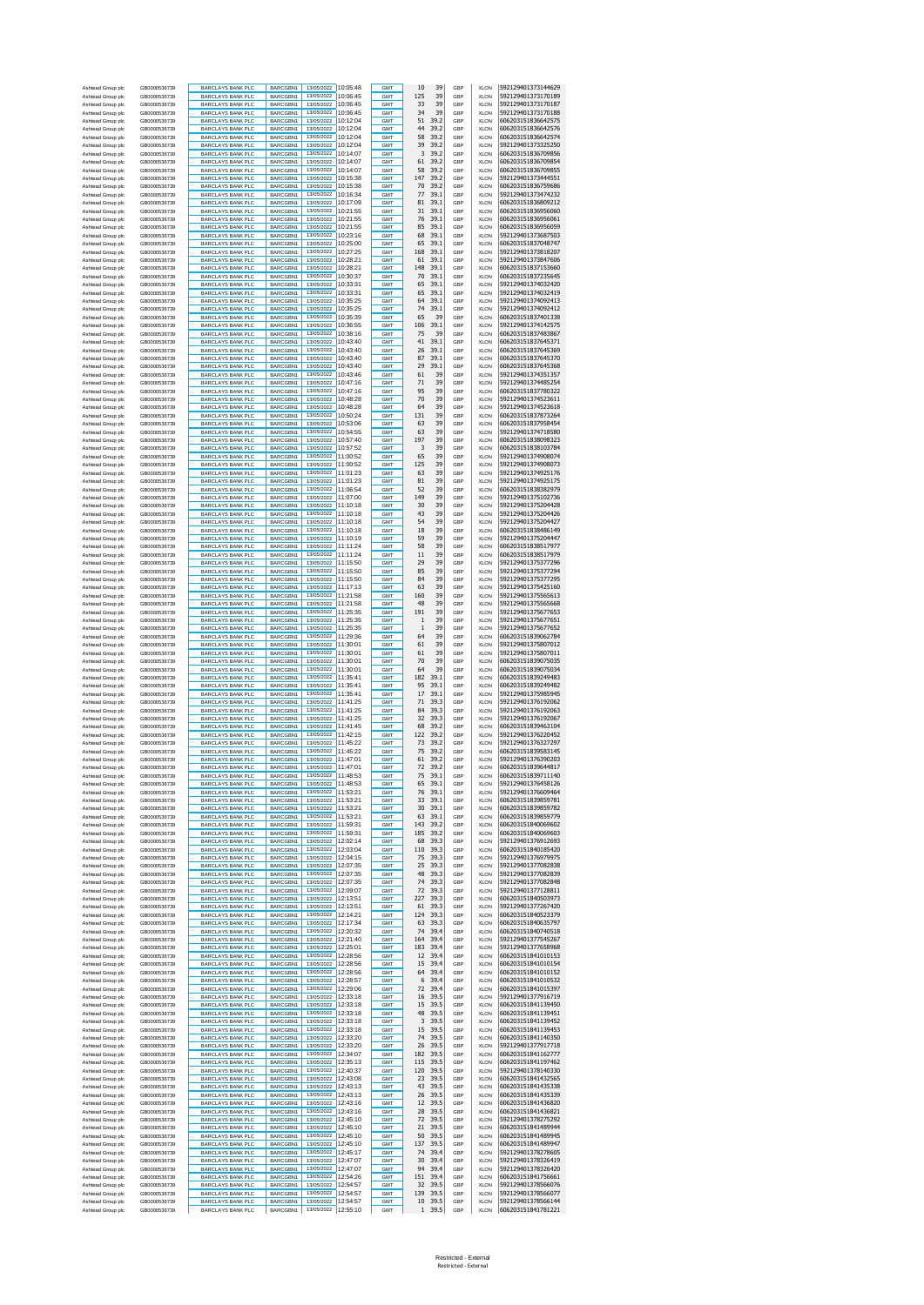| Ashtead Group plc                      | GB0000536739                 | <b>BARCLAYS BANK PLC</b>                             | BARCGBN1                    | 13/05/2022<br>13/05/2022                   | 10:05:48              | <b>GMT</b>               | 10<br>39                        | GBP        | <b>XLON</b>                | 592129401373144629                       |
|----------------------------------------|------------------------------|------------------------------------------------------|-----------------------------|--------------------------------------------|-----------------------|--------------------------|---------------------------------|------------|----------------------------|------------------------------------------|
| Ashtead Group plc<br>Ashtead Group plc | GB0000536739<br>GB0000536739 | <b>BARCLAYS BANK PLC</b><br><b>BARCLAYS BANK PLC</b> | BARCGBN1<br>BARCGBN1        | 13/05/2022                                 | 10:06:45<br>10:06:45  | GMT<br><b>GMT</b>        | 125<br>39<br>39<br>33           | GBP<br>GBP | <b>XLON</b><br><b>XLON</b> | 592129401373170189<br>592129401373170187 |
| Ashtead Group plc                      | GB0000536739                 | <b>BARCLAYS BANK PLC</b>                             | BARCGBN1                    | 13/05/2022                                 | 10:06:45              | GMT                      | 39<br>34                        | GBP        | <b>XLON</b>                | 592129401373170188                       |
| Ashtead Group plc                      | GB0000536739<br>GB0000536739 | <b>BARCLAYS BANK PLC</b>                             | BARCGBN1<br>BARCGBN1        | 13/05/2022<br>13/05/2022                   | 10:12:04<br>10:12:04  | <b>GMT</b><br>GMT        | 51<br>39.2<br>44<br>39.2        | GBP<br>GBP | <b>XLON</b><br><b>XLON</b> | 606203151836642575<br>606203151836642576 |
| Ashtead Group plc<br>Ashtead Group plc | GB0000536739                 | BARCLAYS BANK PLC<br><b>BARCLAYS BANK PLC</b>        | BARCGBN1                    | 13/05/2022                                 | 10:12:04              | <b>GMT</b>               | 58<br>39.2                      | GBP        | <b>XLON</b>                | 606203151836642574                       |
| Ashtead Group plc                      | GB0000536739                 | <b>BARCLAYS BANK PLC</b>                             | BARCGBN1                    | 13/05/2022                                 | 10:12:04              | <b>GMT</b>               | 39<br>39.2                      | GBP        | <b>XLON</b>                | 592129401373325250                       |
| Ashtead Group plc<br>Ashtead Group plc | GB0000536739<br>GB0000536739 | <b>BARCLAYS BANK PLC</b><br><b>BARCLAYS BANK PLC</b> | BARCGBN1<br>BARCGBN1        | 13/05/2022<br>13/05/2022                   | 10:14:07<br>10:14:07  | <b>GMT</b><br>GMT        | 3<br>39.2<br>61<br>39.2         | GBP<br>GBP | <b>XLON</b><br><b>XLON</b> | 606203151836709856<br>606203151836709854 |
| Ashtead Group plc                      | GB0000536739                 | <b>BARCLAYS BANK PLC</b>                             | BARCGBN1                    | 13/05/2022                                 | 10:14:07              | <b>GMT</b>               | 58<br>39.2                      | GBP        | <b>XLON</b>                | 606203151836709855                       |
| Ashtead Group plc                      | GB0000536739                 | <b>BARCLAYS BANK PLC</b>                             | BARCGBN1                    | 13/05/2022                                 | 10:15:38              | GMT                      | 147<br>39.2                     | GBP        | <b>XLON</b>                | 592129401373444551                       |
| Ashtead Group plc<br>Ashtead Group plc | GB0000536739                 | <b>BARCLAYS BANK PLC</b>                             | BARCGBN1                    | 13/05/2022<br>13/05/2022                   | 10:15:38<br>10:16:34  | <b>GMT</b>               | 70<br>39.2<br>77                | GBP        | <b>XLON</b>                | 606203151836759686<br>592129401373474232 |
| Ashtead Group plc                      | GB0000536739<br>GB0000536739 | <b>BARCLAYS BANK PLC</b><br><b>BARCLAYS BANK PLC</b> | BARCGBN1<br>BARCGBN1        | 13/05/2022                                 | 10:17:09              | GMT<br>GMT               | 39.1<br>81<br>39.1              | GBP<br>GBP | <b>XLON</b><br><b>XLON</b> | 606203151836809212                       |
| Ashtead Group plc                      | GB0000536739                 | <b>BARCLAYS BANK PLC</b>                             | BARCGBN1                    | 13/05/2022                                 | 10:21:55              | GMT                      | 31<br>39.1                      | GBP        | <b>XLON</b>                | 606203151836956060                       |
| Ashtead Group plc                      | GB0000536739                 | <b>BARCLAYS BANK PLC</b>                             | BARCGBN1                    | 13/05/2022 10:21:55<br>13/05/2022          | 10:21:55              | GMT                      | 76<br>39.1<br>85                | GBP        | <b>XLON</b>                | 606203151836956061                       |
| Ashtead Group plc<br>Ashtead Group plc | GB0000536739<br>GB0000536739 | <b>BARCLAYS BANK PLC</b><br><b>BARCLAYS BANK PLC</b> | BARCGBN1<br>BARCGBN1        | 13/05/2022                                 | 10:23:16              | GMT<br>GMT               | 39.1<br>68<br>39.1              | GBP<br>GBP | <b>XLON</b><br><b>XLON</b> | 606203151836956059<br>592129401373687503 |
| Ashtead Group plc                      | GB0000536739                 | <b>BARCLAYS BANK PLC</b>                             | BARCGBN1                    | 13/05/2022                                 | 10:25:00              | GMT                      | 65<br>39.1                      | GBP        | <b>XLON</b>                | 606203151837048747                       |
| Ashtead Group plo                      | GB0000536739                 | <b>BARCLAYS BANK PLC</b>                             | BARCGBN1                    | 13/05/2022                                 | 10:27:25              | GMT                      | 168<br>39.1                     | GBP        | <b>XLON</b>                | 592129401373818207                       |
| Ashtead Group plc<br>Ashtead Group plc | GB0000536739<br>GB0000536739 | <b>BARCLAYS BANK PLC</b><br>BARCLAYS BANK PLC        | BARCGBN1<br>BARCGBN1        | 13/05/2022<br>13/05/2022                   | 10:28:21<br>10:28:21  | GMT<br>GMT               | 39.1<br>61<br>148<br>39.1       | GBP<br>GBP | <b>XLON</b><br><b>XLON</b> | 592129401373847606<br>606203151837153660 |
| Ashtead Group plc                      | GB0000536739                 | <b>BARCLAYS BANK PLC</b>                             | BARCGBN1                    | 13/05/2022                                 | 10:30:37              | GMT                      | 70<br>39.1                      | GBP        | <b>XLON</b>                | 606203151837235645                       |
| Ashtead Group plc                      | GB0000536739                 | <b>BARCLAYS BANK PLC</b>                             | BARCGBN1                    | 13/05/2022                                 | 10:33:31              | <b>GMT</b>               | 65<br>39.1                      | GBP        | <b>XLON</b>                | 592129401374032420                       |
| Ashtead Group plc                      | GB0000536739<br>GB0000536739 | <b>BARCLAYS BANK PLC</b>                             | BARCGBN1<br>BARCGBN1        | 13/05/2022<br>13/05/2022                   | 10:33:31<br>10:35:25  | <b>GMT</b><br>GMT        | 39.1<br>65<br>39.1<br>64        | GBP<br>GBP | <b>XLON</b><br><b>XLON</b> | 592129401374032419<br>592129401374092413 |
| Ashtead Group plc<br>Ashtead Group plc | GB0000536739                 | BARCLAYS BANK PLC<br><b>BARCLAYS BANK PLC</b>        | BARCGBN1                    | 13/05/2022                                 | 10:35:25              | <b>GMT</b>               | 74<br>39.1                      | GBP        | <b>XLON</b>                | 592129401374092412                       |
| Ashtead Group plc                      | GB0000536739                 | BARCLAYS BANK PLC                                    | BARCGBN1                    | 13/05/2022                                 | 10:35:39              | <b>GMT</b>               | 65<br>39                        | GBP        | <b>XLON</b>                | 606203151837401338                       |
| Ashtead Group plc                      | GB0000536739                 | <b>BARCLAYS BANK PLC</b>                             | BARCGBN1                    | 13/05/2022                                 | 10:36:55              | <b>GMT</b>               | 106<br>39.1                     | GBP        | <b>XLON</b>                | 592129401374142575                       |
| Ashtead Group plc<br>Ashtead Group plc | GB0000536739<br>GB0000536739 | BARCLAYS BANK PLC<br><b>BARCLAYS BANK PLC</b>        | BARCGBN1<br>BARCGBN1        | 13/05/2022<br>13/05/2022                   | 10:38:16<br>10:43:40  | GMT<br><b>GMT</b>        | 75<br>39<br>41<br>39.1          | GBP<br>GBP | <b>XLON</b><br><b>XLON</b> | 606203151837483867<br>606203151837645371 |
| Ashtead Group plc                      | GB0000536739                 | BARCLAYS BANK PLC                                    | BARCGBN1                    | 13/05/2022                                 | 10:43:40              | <b>GMT</b>               | 26<br>39.1                      | GBP        | <b>XLON</b>                | 606203151837645369                       |
| Ashtead Group plc                      | GB0000536739                 | <b>BARCLAYS BANK PLC</b>                             | BARCGBN1                    | 13/05/2022                                 | 10:43:40              | <b>GMT</b>               | 39.1<br>87                      | GBP        | <b>XLON</b>                | 606203151837645370                       |
| Ashtead Group plc<br>Ashtead Group plc | GB0000536739<br>GB0000536739 | <b>BARCLAYS BANK PLC</b><br><b>BARCLAYS BANK PLC</b> | BARCGBN1<br>BARCGBN1        | 13/05/2022<br>13/05/2022                   | 10:43:40<br>10:43:46  | GMT<br><b>GMT</b>        | 29<br>39.1<br>61<br>39          | GBP<br>GBP | <b>XLON</b><br><b>XLON</b> | 606203151837645368<br>592129401374351357 |
| Ashtead Group plc                      | GB0000536739                 | BARCLAYS BANK PLC                                    | BARCGBN1                    | 13/05/2022                                 | 10:47:16              | GMT                      | 71<br>39                        | GBP        | <b>XLON</b>                | 592129401374485254                       |
| Ashtead Group plc                      | GB0000536739                 | <b>BARCLAYS BANK PLC</b>                             | BARCGBN1                    | 13/05/2022                                 | 10:47:16              | GMT                      | 95<br>39                        | GBP        | <b>XLON</b>                | 606203151837780322                       |
| Ashtead Group plc<br>Ashtead Group plc | GB0000536739<br>GB0000536739 | <b>BARCLAYS BANK PLC</b><br><b>BARCLAYS BANK PLC</b> | BARCGBN1<br>BARCGBN1        | 13/05/2022<br>13/05/2022                   | 10:48:28<br>10:48:28  | GMT<br>GMT               | 70<br>39<br>64<br>39            | GBP<br>GBP | <b>XLON</b><br><b>XLON</b> | 592129401374523611<br>592129401374523618 |
| Ashtead Group plc                      | GB0000536739                 | <b>BARCLAYS BANK PLC</b>                             | BARCGBN1                    | 13/05/2022                                 | 10:50:24              | GMT                      | 131<br>39                       | GBP        | <b>XLON</b>                | 606203151837873264                       |
| Ashtead Group plo                      | GB0000536739                 | <b>BARCLAYS BANK PLC</b>                             | BARCGBN1                    | 13/05/2022                                 | 10:53:06              | GMT                      | 63<br>39                        | GBP        | <b>XLON</b>                | 606203151837958454                       |
| Ashtead Group plc<br>Ashtead Group plc | GB0000536739<br>GB0000536739 | <b>BARCLAYS BANK PLC</b><br><b>BARCLAYS BANK PLC</b> | BARCGBN1<br>BARCGBN1        | 13/05/2022<br>13/05/2022                   | 10:54:55<br>10:57:40  | GMT<br>GMT               | 39<br>63<br>197<br>39           | GBP<br>GBP | <b>XLON</b><br><b>XLON</b> | 592129401374718580<br>606203151838098323 |
| Ashtead Group plc                      | GB0000536739                 | <b>BARCLAYS BANK PLC</b>                             | BARCGBN1                    | 13/05/2022                                 | 10:57:52              | GMT                      | 3<br>39                         | GBP        | <b>XLON</b>                | 606203151838103784                       |
| Ashtead Group plo                      | GB0000536739                 | BARCLAYS BANK PLC                                    | BARCGBN1                    | 13/05/2022                                 | 11:00:52              | GMT                      | 65<br>39                        | GBP        | <b>XLON</b>                | 592129401374908074                       |
| Ashtead Group plc<br>Ashtead Group plc | GB0000536739<br>GB0000536739 | BARCLAYS BANK PLC<br>BARCLAYS BANK PLC               | BARCGBN1<br>BARCGBN1        | 13/05/2022<br>13/05/2022                   | 11:00:52<br>11:01:23  | <b>GMT</b><br>GMT        | 125<br>39<br>63<br>39           | GBP<br>GBP | <b>XLON</b><br><b>XLON</b> | 592129401374908073<br>592129401374925176 |
| Ashtead Group plc                      | GB0000536739                 | <b>BARCLAYS BANK PLC</b>                             | BARCGBN1                    | 13/05/2022                                 | 11:01:23              | <b>GMT</b>               | 81<br>39                        | GBP        | <b>XLON</b>                | 592129401374925175                       |
| Ashtead Group plc                      | GB0000536739                 | <b>BARCLAYS BANK PLC</b>                             | BARCGBN1                    | 13/05/2022                                 | 11:06:54              | <b>GMT</b>               | 39<br>52                        | GBP        | <b>XLON</b>                | 606203151838382979                       |
| Ashtead Group plc                      | GB0000536739                 | <b>BARCLAYS BANK PLC</b>                             | BARCGBN1                    | 13/05/2022                                 | 11:07:00              | <b>GMT</b>               | 39<br>149                       | GBP        | <b>XLON</b>                | 592129401375102736                       |
| Ashtead Group plc<br>Ashtead Group plc | GB0000536739<br>GB0000536739 | BARCLAYS BANK PLC<br><b>BARCLAYS BANK PLC</b>        | BARCGBN1<br>BARCGBN1        | 13/05/2022<br>13/05/2022                   | 11:10:18<br>111.10.18 | GMT<br><b>GMT</b>        | 39<br>30<br>39<br>43            | GBP<br>GBP | <b>XLON</b><br><b>XLON</b> | 592129401375204428<br>592129401375204426 |
| Ashtead Group plc                      | GB0000536739                 | <b>BARCLAYS BANK PLC</b>                             | BARCGBN1                    | 13/05/2022                                 | 11:10:18              | <b>GMT</b>               | 39<br>54                        | GBP        | <b>XLON</b>                | 592129401375204427                       |
| Ashtead Group plc                      | GB0000536739                 | <b>BARCLAYS BANK PLC</b>                             | BARCGBN1                    | 13/05/2022                                 | 11:10:18              | <b>GMT</b>               | 39<br>18                        | GBP        | <b>XLON</b>                | 606203151838486149                       |
| Ashtead Group plc<br>Ashtead Group plc | GB0000536739<br>GB0000536739 | BARCLAYS BANK PLC<br><b>BARCLAYS BANK PLC</b>        | BARCGBN1<br>BARCGBN1        | 13/05/2022<br>13/05/2022                   | 11:10:19<br>11:11:24  | GMT<br><b>GMT</b>        | 39<br>59<br>39<br>58            | GBP<br>GBP | <b>XLON</b><br><b>XLON</b> | 592129401375204447<br>606203151838517977 |
| Ashtead Group plc                      | GB0000536739                 | BARCLAYS BANK PLC                                    | BARCGBN1                    | 13/05/2022                                 | 11:11:24              | <b>GMT</b>               | 39<br>11                        | GBP        | <b>XLON</b>                | 606203151838517979                       |
| Ashtead Group plc                      | GB0000536739                 | <b>BARCLAYS BANK PLC</b>                             | BARCGBN1                    | 13/05/2022 11:15:50                        |                       | <b>GMT</b>               | 39<br>29                        | GBP        | <b>XLON</b>                | 592129401375377296                       |
| Ashtead Group plc                      | GB0000536739                 | <b>BARCLAYS BANK PLC</b>                             | BARCGBN1                    | 13/05/2022 11:15:50<br>13/05/2022 11:15:50 |                       | GMT<br>GMT               | 39<br>85<br>84<br>39            | GBP<br>GBP | <b>XLON</b><br><b>XLON</b> | 592129401375377294<br>592129401375377295 |
| Ashtead Group plc<br>Ashtead Group plc | GB0000536739<br>GB0000536739 | <b>BARCLAYS BANK PLC</b><br><b>BARCLAYS BANK PLC</b> | BARCGBN1<br>BARCGBN1        | 13/05/2022                                 | 11:17:13              | GMT                      | 63<br>39                        | GBP        | <b>XLON</b>                | 592129401375425160                       |
| Ashtead Group plo                      | GB0000536739                 | <b>BARCLAYS BANK PLC</b>                             | BARCGBN1                    | 13/05/2022 11:21:58                        |                       | GMT                      | 160<br>39                       | GBP        | <b>XLON</b>                | 592129401375565613                       |
| Ashtead Group plc                      | GB0000536739                 | <b>BARCLAYS BANK PLC</b>                             | BARCGBN1                    | 13/05/2022 11:21:58<br>13/05/2022 11:25:35 |                       | GMT                      | 48<br>39                        | GBP        | <b>XLON</b>                | 592129401375565668                       |
| Ashtead Group plc<br>Ashtead Group plc | GB0000536739<br>GB0000536739 | <b>BARCLAYS BANK PLC</b><br><b>BARCLAYS BANK PLC</b> | BARCGBN1<br>BARCGBN1        | 13/05/2022                                 | 11:25:35              | GMT<br>GMT               | 39<br>191<br>39<br>$\mathbf{1}$ | GBP<br>GBP | <b>XLON</b><br><b>XLON</b> | 592129401375677653<br>592129401375677651 |
| Ashtead Group plc                      | GB0000536739                 | <b>BARCLAYS BANK PLC</b>                             | BARCGBN1                    | 13/05/2022 11:25:35                        |                       | GMT                      | $\mathbf{1}$<br>39              | GBP        | <b>XLON</b>                | 592129401375677652                       |
| Ashtead Group plc                      | GB0000536739                 | <b>BARCLAYS BANK PLC</b>                             | BARCGBN1                    | 13/05/2022 11:29:36                        |                       | GMT                      | 64<br>39                        | GBP        | <b>XLON</b>                | 606203151839062784                       |
| Ashtead Group plc<br>Ashtead Group plc | GB0000536739<br>GB0000536739 | <b>BARCLAYS BANK PLC</b><br><b>BARCLAYS BANK PLC</b> | BARCGBN1<br>BARCGBN1        | 13/05/2022<br>13/05/2022                   | 11:30:01<br>11:30:01  | GMT<br>GMT               | 61<br>39<br>61<br>39            | GBP<br>GBP | <b>XLON</b><br><b>XLON</b> | 592129401375807012<br>592129401375807011 |
| Ashtead Group plo                      | GB0000536739                 | BARCLAYS BANK PLC                                    | BARCGBN1                    | 13/05/2022                                 | 11:30:01              | GMT                      | 70<br>39                        | GBP        | <b>XLON</b>                | 606203151839075035                       |
| Ashtead Group plc                      | GB0000536739                 | BARCLAYS BANK PLC                                    | BARCGBN1                    | 13/05/2022                                 | 11:30:01              | <b>GMT</b>               | 64<br>39                        | GBP        | <b>XLON</b>                | 606203151839075034                       |
| Ashtead Group plc<br>Ashtead Group plc | GB0000536739<br>GB0000536739 | BARCLAYS BANK PLC<br><b>BARCLAYS BANK PLC</b>        | BARCGBN1<br>BARCGBN1        | 13/05/2022<br>13/05/2022                   | 11:35:41<br>11:35:41  | GMT<br><b>GMT</b>        | 182<br>39.1<br>95<br>39.1       | GBP<br>GBP | <b>XLON</b><br><b>XLON</b> | 606203151839249483<br>606203151839249482 |
| Ashtead Group plc                      | GB0000536739                 | BARCLAYS BANK PLC                                    | BARCGBN1                    | 13/05/2022                                 | 11:35:41              | <b>GMT</b>               | 17<br>39.1                      | GBP        | <b>XLON</b>                | 592129401375985945                       |
| Ashtead Group plc                      | GB0000536739                 | <b>BARCLAYS BANK PLC</b>                             | BARCGBN1                    | 13/05/2022                                 | 11:41:25              | <b>GMT</b>               | 71<br>39.3                      | GBP        | <b>XLON</b>                | 592129401376192062                       |
| Ashtead Group plc                      | GB0000536739                 | BARCLAYS BANK PLC                                    | BARCGBN1                    | 13/05/2022<br>13/05/2022                   | 11:41:25              | GMT                      | 39.3<br>84<br>32<br>39.3        | GBP        | <b>XLON</b>                | 592129401376192063<br>592129401376192067 |
| Ashtead Group plc<br>Ashtead Group plc | GB0000536739<br>GB0000536739 | <b>BARCLAYS BANK PLC</b><br><b>BARCLAYS BANK PLC</b> | BARCGBN1<br>BARCGBN1        | 13/05/2022                                 | 11:41:25<br>11:41:45  | <b>GMT</b><br><b>GMT</b> | 68<br>39.2                      | GBP<br>GBP | <b>XLON</b><br><b>XLON</b> | 606203151839463104                       |
| Ashtead Group plc                      | GB0000536739                 | <b>BARCLAYS BANK PLC</b>                             | RARCGRN1                    | 13/05/2022                                 | 11:42:15              | <b>GMT</b>               | 39.2<br>122                     | GBP        | <b>XLON</b>                | 592129401376220452                       |
| Ashtead Group plc                      | GB0000536739                 | <b>BARCLAYS BANK PLC</b>                             | BARCGBN1                    | 13/05/2022                                 | 11:45:22<br>11:45:22  | GMT                      | 39.2<br>73<br>75<br>39.2        | GBP        | <b>XLON</b>                | 592129401376327297                       |
| Ashtead Group plc<br>Ashtead Group plc | GB0000536739<br>GB0000536739 | <b>BARCLAYS BANK PLC</b><br><b>BARCLAYS BANK PLC</b> | BARCGBN1<br><b>BARCGBN1</b> | 13/05/2022<br>13/05/2022                   | 11:47:01              | <b>GMT</b><br><b>GMT</b> | 39.2<br>61                      | GBP<br>GBP | <b>XLON</b><br><b>XLON</b> | 606203151839583145<br>592129401376390203 |
| Ashtead Group plc                      | GB0000536739                 | <b>BARCLAYS BANK PLC</b>                             | BARCGBN1                    | 13/05/2022 11:47:01                        |                       | <b>GMT</b>               | 39.2<br>72                      | GBP        | <b>XLON</b>                | 606203151839644817                       |
| Ashtead Group plc                      | GB0000536739                 | BARCLAYS BANK PLC                                    | BARCGBN1                    | 13/05/2022 11:48:53                        |                       | GMT                      | 75<br>39.1                      | GBP        | <b>XLON</b>                | 606203151839711140                       |
| Ashtead Group plc<br>Ashtead Group plc | GB0000536739<br>GB0000536739 | <b>BARCLAYS BANK PLO</b><br><b>BARCLAYS BANK PLC</b> | BARCGBN1<br>BARCGBN1        | 13/05/2022<br>13/05/2022                   | 11:48:53<br>11:53:21  | <b>GMT</b><br><b>GMT</b> | 65<br>39.1<br>76<br>39.1        | GRP<br>GBP | XI ON<br><b>XLON</b>       | 592129401376458126<br>592129401376609464 |
| Ashtead Group plc                      | GB0000536739                 | <b>BARCLAYS BANK PLC</b>                             | BARCGBN1                    | 13/05/2022 11:53:21                        |                       | GMT                      | 33<br>39.1                      | GBP        | <b>XLON</b>                | 606203151839859781                       |
| Ashtead Group plc                      | GB0000536739                 | <b>BARCLAYS BANK PLC</b>                             | BARCGBN1                    | 13/05/2022 11:53:21                        |                       | GMT                      | 30<br>39.1                      | GBP        | <b>XLON</b>                | 606203151839859782                       |
| Ashtead Group plc<br>Ashtead Group plc | GB0000536739<br>GB0000536739 | <b>BARCLAYS BANK PLC</b><br><b>BARCLAYS BANK PLC</b> | BARCGBN1<br>BARCGBN1        | 13/05/2022 11:53:21<br>13/05/2022          | 11:59:31              | GMT<br>GMT               | 63<br>39.1<br>143<br>39.2       | GBP<br>GBP | <b>XLON</b><br><b>XLON</b> | 606203151839859779<br>606203151840069602 |
| Ashtead Group plc                      | GB0000536739                 | <b>BARCLAYS BANK PLC</b>                             | BARCGBN1                    | 13/05/2022 11:59:31                        |                       | GMT                      | 185<br>39.2                     | GBP        | XLON                       | 606203151840069603                       |
| Ashtead Group plc                      | GB0000536739                 | <b>BARCLAYS BANK PLC</b>                             | BARCGBN1                    | 13/05/2022 12:02:14                        |                       | GMT                      | 68<br>39.3                      | GBP        | <b>XLON</b>                | 592129401376912693                       |
| Ashtead Group plc<br>Ashtead Group plc | GB0000536739<br>GB0000536739 | <b>BARCLAYS BANK PLC</b><br><b>BARCLAYS BANK PLC</b> | BARCGBN1<br>BARCGBN1        | 13/05/2022<br>13/05/2022                   | 12:03:04<br>12:04:15  | GMT<br><b>GMT</b>        | 110<br>39.3<br>75<br>39.3       | GBP<br>GBP | <b>XLON</b><br><b>XLON</b> | 606203151840185420<br>592129401376979975 |
| Ashtead Group plc                      | GB0000536739                 | BARCLAYS BANK PLC                                    | BARCGBN1                    | 13/05/2022                                 | 12:07:35              | <b>GMT</b>               | 25<br>39.3                      | GBP        | <b>XLON</b>                | 592129401377082838                       |
| Ashtead Group plc                      | GB0000536739                 | <b>BARCLAYS BANK PLC</b>                             | BARCGBN1                    | 13/05/2022<br>13/05/2022                   | 12:07:35              | <b>GMT</b>               | 39.3<br>48                      | GBP        | <b>XLON</b>                | 592129401377082839                       |
| Ashtead Group plc<br>Ashtead Group plc | GB0000536739<br>GB0000536739 | <b>BARCLAYS BANK PLC</b><br><b>BARCLAYS BANK PLC</b> | BARCGBN1<br>BARCGBN1        | 13/05/2022                                 | 12:07:35<br>12:09:07  | GMT<br><b>GMT</b>        | 74<br>39.3<br>72<br>39.3        | GBP<br>GBP | <b>XLON</b><br><b>XLON</b> | 592129401377082848<br>592129401377128811 |
| Ashtead Group plc                      | GB0000536739                 | <b>BARCLAYS BANK PLC</b>                             | BARCGBN1                    | 13/05/2022                                 | 12:13:51              | <b>GMT</b>               | 227<br>39.3                     | GBP        | <b>XLON</b>                | 606203151840503973                       |
| Ashtead Group plc<br>Ashtead Group plc | GR0000536739<br>GB0000536739 | <b>BARCLAYS BANK PLC</b><br><b>BARCLAYS BANK PLC</b> | BARCGBN1<br>BARCGBN1        | 13/05/2022 12:13:51<br>13/05/2022 12:14:21 |                       | <b>GMT</b><br>GMT        | 39.3<br>61<br>124<br>39.3       | GBP<br>GBP | <b>XLON</b><br><b>XLON</b> | 592129401377267420<br>606203151840523379 |
| Ashtead Group plc                      | GB0000536739                 | <b>BARCLAYS BANK PLC</b>                             | BARCGBN1                    | 13/05/2022                                 | 12:17:34              | <b>GMT</b>               | 39.3<br>63                      | GBP        | <b>XLON</b>                | 606203151840635797                       |
| Ashtead Group plc                      | GB0000536739                 | <b>BARCLAYS BANK PLC</b>                             | BARCGBN1                    | 13/05/2022                                 | 12:20:32              | <b>GMT</b>               | 74<br>39.4                      | GBP        | <b>XLON</b>                | 606203151840740518                       |
| Ashtead Group plc<br>Ashtead Group plc | GB0000536739<br>GB0000536739 | <b>BARCLAYS BANK PLC</b><br><b>BARCLAYS BANK PLC</b> | BARCGBN1<br>BARCGBN1        | 13/05/2022<br>13/05/2022 12:25:01          | 12:21:40              | <b>GMT</b><br>GMT        | 164<br>39.4<br>183<br>39.4      | GBP<br>GBP | <b>XLON</b><br><b>XLON</b> | 592129401377545267<br>592129401377658968 |
| Ashtead Group plc                      | GB0000536739                 | <b>BARCLAYS BANK PLC</b>                             | BARCGBN1                    | 13/05/2022                                 | 12:28:56              | <b>GMT</b>               | 12<br>39.4                      | GBP        | <b>XLON</b>                | 606203151841010153                       |
| Ashtead Group plc                      | GB0000536739                 | <b>BARCLAYS BANK PLC</b>                             | BARCGBN1                    | 13/05/2022                                 | 12:28:56              | GMT                      | 15<br>39.4                      | GBP        | <b>XLON</b>                | 606203151841010154                       |
| Ashtead Group plc                      | GB0000536739                 | <b>BARCLAYS BANK PLC</b><br><b>BARCLAYS BANK PLC</b> | BARCGBN1                    | 13/05/2022 12:28:56<br>13/05/2022 12:28:57 |                       | GMT<br>GMT               | 64<br>39.4<br>6<br>39.4         | GBP<br>GBP | <b>XLON</b><br><b>XLON</b> | 606203151841010152<br>606203151841010532 |
| Ashtead Group plc<br>Ashtead Group plc | GB0000536739<br>GB0000536739 | <b>BARCLAYS BANK PLC</b>                             | BARCGBN1<br>BARCGBN1        | 13/05/2022 12:29:06                        |                       | GMT                      | 72<br>39.4                      | GBP        | <b>XLON</b>                | 606203151841015397                       |
| Ashtead Group plc                      | GB0000536739                 | <b>BARCLAYS BANK PLC</b>                             | BARCGBN1                    | 13/05/2022 12:33:18                        |                       | GMT                      | 39.5<br>16                      | GBP        | <b>XLON</b>                | 592129401377916719                       |
| Ashtead Group plc<br>Ashtead Group plc | GB0000536739<br>GB0000536739 | <b>BARCLAYS BANK PLC</b><br><b>BARCLAYS BANK PLC</b> | BARCGBN1<br>BARCGBN1        | 13/05/2022 12:33:18<br>13/05/2022 12:33:18 |                       | GMT<br>GMT               | 15<br>39.5<br>48<br>39.5        | GBP<br>GBP | <b>XLON</b><br><b>XLON</b> | 606203151841139450<br>606203151841139451 |
| Ashtead Group plc                      | GB0000536739                 | <b>BARCLAYS BANK PLC</b>                             | BARCGBN1                    | 13/05/2022 12:33:18                        |                       | GMT                      | 3<br>39.5                       | GBP        | <b>XLON</b>                | 606203151841139452                       |
| Ashtead Group plc                      | GB0000536739                 | <b>BARCLAYS BANK PLC</b>                             | BARCGBN1                    | 13/05/2022                                 | 12:33:18              | GMT                      | 15<br>39.5                      | GBP        | <b>XLON</b>                | 606203151841139453                       |
| Ashtead Group plc<br>Ashtead Group plc | GB0000536739<br>GB0000536739 | <b>BARCLAYS BANK PLC</b><br><b>BARCLAYS BANK PLC</b> | BARCGBN1<br>BARCGBN1        | 13/05/2022<br>13/05/2022                   | 12:33:20<br>12:33:20  | GMT<br>GMT               | 74<br>39.5<br>26<br>39.5        | GBP<br>GBP | XLON<br><b>XLON</b>        | 606203151841140350<br>592129401377917718 |
| Ashtead Group plc                      | GB0000536739                 | BARCLAYS BANK PLC                                    | BARCGBN1                    | 13/05/2022                                 | 12:34:07              | GMT                      | 182<br>39.5                     | GBP        | <b>XLON</b>                | 606203151841162777                       |
| Ashtead Group plc                      | GB0000536739                 | <b>BARCLAYS BANK PLC</b>                             | BARCGBN1                    | 13/05/2022                                 | 12:35:13              | GMT                      | 115<br>39.5                     | GBP        | <b>XLON</b>                | 606203151841197462                       |
| Ashtead Group plc                      | GB0000536739                 | <b>BARCLAYS BANK PLC</b>                             | BARCGBN1                    | 13/05/2022                                 | 12:40:37              | <b>GMT</b>               | 39.5<br>120                     | GBP        | <b>XLON</b>                | 592129401378140330<br>606203151841432565 |
| Ashtead Group plc<br>Ashtead Group plc | GB0000536739<br>GB0000536739 | <b>BARCLAYS BANK PLC</b><br><b>BARCLAYS BANK PLC</b> | BARCGBN1<br>BARCGBN1        | 13/05/2022<br>13/05/2022                   | 12:43:08<br>12:43:13  | <b>GMT</b><br>GMT        | 39.5<br>23<br>43<br>39.5        | GBP<br>GBP | <b>XLON</b><br><b>XLON</b> | 606203151841435338                       |
| Ashtead Group plc                      | GB0000536739                 | <b>BARCLAYS BANK PLC</b>                             | BARCGBN1                    | 13/05/2022                                 | 12:43:13              | <b>GMT</b>               | 39.5<br>26                      | GBP        | <b>XLON</b>                | 606203151841435339                       |
| Ashtead Group plc                      | GB0000536739                 | <b>BARCLAYS BANK PLC</b>                             | BARCGBN1                    | 13/05/2022                                 | 12:43:16              | <b>GMT</b>               | 12<br>39.5                      | GBP        | <b>XLON</b>                | 606203151841436820                       |
| Ashtead Group plc<br>Ashtead Group plc | GB0000536739<br>GB0000536739 | <b>BARCLAYS BANK PLC</b><br><b>BARCLAYS BANK PLC</b> | BARCGBN1<br>BARCGBN1        | 13/05/2022<br>13/05/2022                   | 12:43:16<br>12:45:10  | <b>GMT</b><br>GMT        | 28<br>39.5<br>72<br>39.5        | GBP<br>GBP | <b>XLON</b><br><b>XLON</b> | 606203151841436821<br>592129401378275292 |
| Ashtead Group plc                      | GB0000536739                 | <b>BARCLAYS BANK PLC</b>                             | BARCGBN1                    | 13/05/2022                                 | 12:45:10              | <b>GMT</b>               | 21<br>39.5                      | GBP        | <b>XLON</b>                | 606203151841489944                       |
| Ashtead Group plc                      | GB0000536739                 | <b>BARCLAYS BANK PLC</b>                             | BARCGBN1                    | 13/05/2022                                 | 12:45:10              | <b>GMT</b>               | 50<br>39.5                      | GBP        | <b>XLON</b>                | 606203151841489945                       |
| Ashtead Group plc<br>Ashtead Group plc | GB0000536739<br>GB0000536739 | <b>BARCLAYS BANK PLC</b><br><b>BARCLAYS BANK PLC</b> | BARCGBN1<br>BARCGBN1        | 13/05/2022<br>13/05/2022                   | 12:45:10<br>12:45:17  | <b>GMT</b><br>GMT        | 137<br>39.5<br>74<br>39.4       | GBP<br>GBP | <b>XLON</b><br><b>XLON</b> | 606203151841489947<br>592129401378278605 |
| Ashtead Group plc                      | GB0000536739                 | <b>BARCLAYS BANK PLC</b>                             | BARCGBN1                    | 13/05/2022                                 | 12:47:07              | GMT                      | 30<br>39.4                      | GBP        | <b>XLON</b>                | 592129401378326419                       |
| Ashtead Group plc                      | GB0000536739                 | <b>BARCLAYS BANK PLC</b>                             | BARCGBN1                    | 13/05/2022                                 | 12:47:07              | GMT                      | 94<br>39.4                      | GBP        | <b>XLON</b>                | 592129401378326420                       |
| Ashtead Group plc<br>Ashtead Group plc | GB0000536739<br>GB0000536739 | <b>BARCLAYS BANK PLC</b><br><b>BARCLAYS BANK PLC</b> | BARCGBN1<br>BARCGBN1        | 13/05/2022 12:54:26<br>13/05/2022          | 12:54:57              | GMT<br>GMT               | 151<br>39.4<br>32<br>39.5       | GBP<br>GBP | <b>XLON</b><br><b>XLON</b> | 606203151841756661<br>592129401378566076 |
| Ashtead Group plc                      | GB0000536739                 | <b>BARCLAYS BANK PLC</b>                             | BARCGBN1                    | 13/05/2022 12:54:57                        |                       | GMT                      | 139<br>39.5                     | GBP        | <b>XLON</b>                | 592129401378566077                       |
| Ashtead Group plc<br>Ashtead Group plo | GB0000536739<br>GB0000536739 | <b>BARCLAYS BANK PLC</b><br><b>BARCLAYS BANK PLC</b> | BARCGBN1<br>BARCGBN1        | 13/05/2022 12:54:57<br>13/05/2022 12:55:10 |                       | GMT<br>GMT               | 10<br>39.5<br>39.5<br>1         | GBP<br>GBP | <b>XLON</b><br><b>XLON</b> | 592129401378566144<br>606203151841781221 |
|                                        |                              |                                                      |                             |                                            |                       |                          |                                 |            |                            |                                          |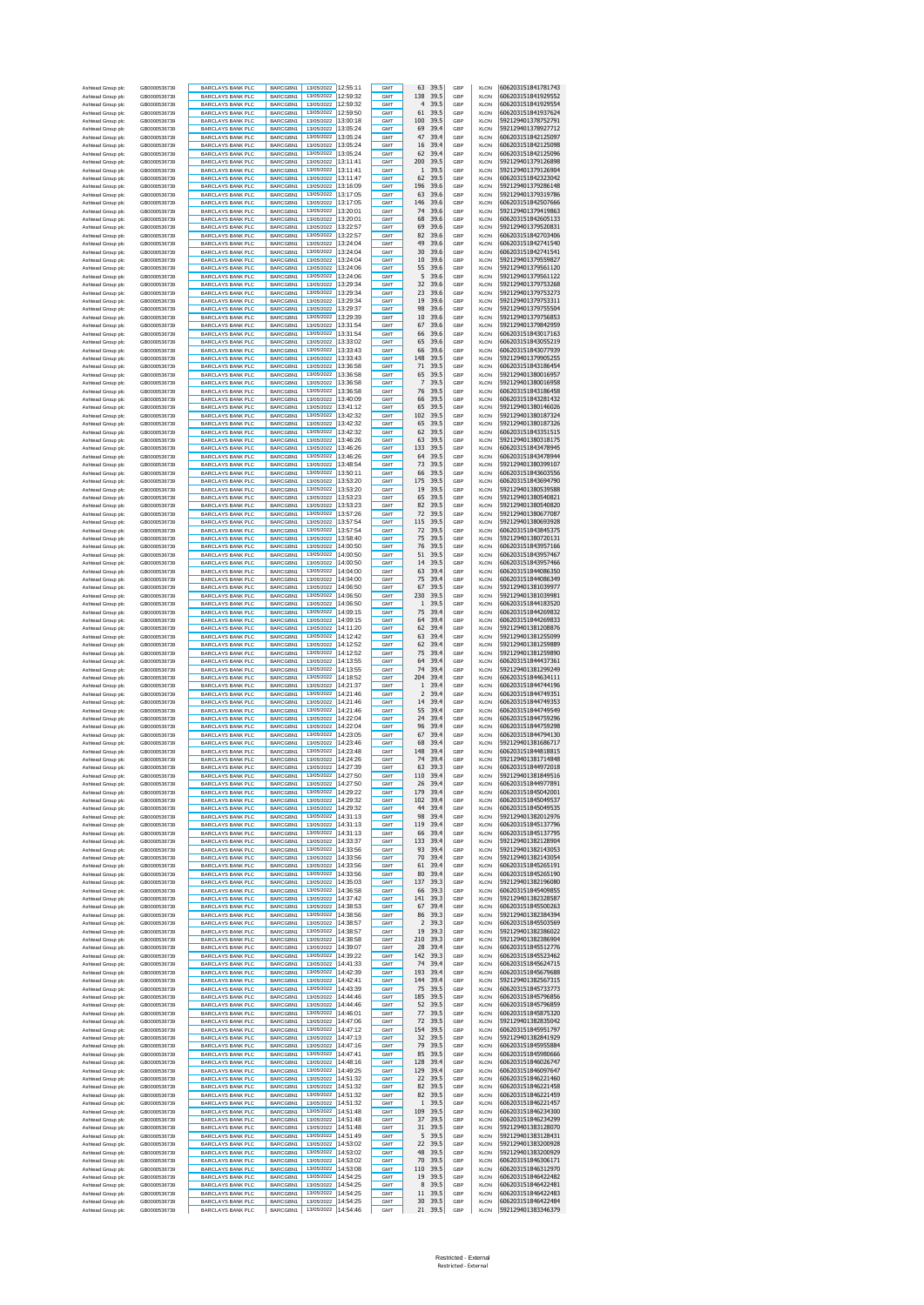| Ashtead Group plc                      | GB0000536739                 | <b>BARCLAYS BANK PLC</b>                             | BARCGBN1             | 13/05/2022 12:55:11                        |                      | <b>GMT</b>               | 39.5<br>63                            | GBP        | <b>XLON</b>                | 606203151841781743                       |
|----------------------------------------|------------------------------|------------------------------------------------------|----------------------|--------------------------------------------|----------------------|--------------------------|---------------------------------------|------------|----------------------------|------------------------------------------|
| Ashtead Group plc<br>Ashtead Group plc | GB0000536739<br>GB0000536739 | BARCLAYS BANK PLC<br><b>BARCLAYS BANK PLC</b>        | BARCGBN1<br>BARCGBN1 | 13/05/2022 12:59:32<br>13/05/2022          | 12:59:32             | GMT<br><b>GMT</b>        | 138<br>39.5<br>39.5<br>$\overline{4}$ | GBP<br>GBP | <b>XLON</b><br><b>XLON</b> | 606203151841929552<br>606203151841929554 |
| Ashtead Group plc                      | GB0000536739                 | BARCLAYS BANK PLC                                    | BARCGBN1             | 13/05/2022                                 | 12:59:50             | GMT                      | 61<br>39.5                            | GBP        | <b>XLON</b>                | 606203151841937624                       |
| Ashtead Group plc<br>Ashtead Group plc | GB0000536739<br>GB0000536739 | <b>BARCLAYS BANK PLC</b><br><b>BARCLAYS BANK PLC</b> | BARCGBN1<br>BARCGBN1 | 13/05/2022 13:00:18<br>13/05/2022 13:05:24 |                      | <b>GMT</b><br>GMT        | 100<br>39.5<br>69<br>39.4             | GBP<br>GBP | <b>XLON</b><br><b>XLON</b> | 592129401378752791<br>592129401378927712 |
| Ashtead Group plc                      | GB0000536739                 | <b>BARCLAYS BANK PLC</b>                             | BARCGBN1             | 13/05/2022                                 | 13:05:24             | <b>GMT</b>               | 47<br>39.4                            | GBP        | <b>XLON</b>                | 606203151842125097                       |
| Ashtead Group plc                      | GB0000536739<br>GB0000536739 | BARCLAYS BANK PLC                                    | BARCGBN1             | 13/05/2022<br>13/05/2022 13:05:24          | 13:05:24             | <b>GMT</b><br><b>GMT</b> | 16<br>39.4<br>39.4<br>62              | GBP<br>GBP | <b>XLON</b><br><b>XLON</b> | 606203151842125098<br>606203151842125096 |
| Ashtead Group plc<br>Ashtead Group plc | GB0000536739                 | <b>BARCLAYS BANK PLC</b><br>BARCLAYS BANK PLC        | BARCGBN1<br>BARCGBN1 | 13/05/2022 13:11:41                        |                      | GMT                      | 200<br>39.5                           | GBP        | <b>XLON</b>                | 592129401379126898                       |
| Ashtead Group plc                      | GB0000536739                 | <b>BARCLAYS BANK PLC</b>                             | BARCGBN1             | 13/05/2022 13:11:41                        | 13:11:47             | <b>GMT</b>               | 39.5<br>1                             | GBP        | <b>XLON</b>                | 592129401379126904                       |
| Ashtead Group plc<br>Ashtead Group plc | GB0000536739<br>GB0000536739 | BARCLAYS BANK PLC<br>BARCLAYS BANK PLC               | BARCGBN1<br>BARCGBN1 | 13/05/2022<br>13/05/2022                   | 13:16:09             | GMT<br><b>GMT</b>        | 62<br>39.5<br>196<br>39.6             | GBP<br>GBP | <b>XLON</b><br><b>XLON</b> | 606203151842323042<br>592129401379286148 |
| Ashtead Group plc                      | GB0000536739                 | BARCLAYS BANK PLC                                    | BARCGBN1             | 13/05/2022 13:17:05                        |                      | GMT                      | 63<br>39.6                            | GBP        | <b>XLON</b>                | 592129401379319786                       |
| Ashtead Group plc<br>Ashtead Group plc | GB0000536739<br>GB0000536739 | <b>BARCLAYS BANK PLC</b><br>BARCLAYS BANK PLC        | BARCGBN1<br>BARCGBN1 | 13/05/2022 13:17:05<br>13/05/2022          | 13:20:01             | GMT<br>GMT               | 146<br>39.6<br>74<br>39.6             | GBP<br>GBP | XLON<br><b>XLON</b>        | 606203151842507666<br>592129401379419863 |
| Ashtead Group plo                      | GB0000536739                 | BARCLAYS BANK PLC                                    | BARCGBN1             | 13/05/2022 13:20:01                        |                      | GMT                      | 68<br>39.6                            | GBP        | <b>XLON</b>                | 606203151842605133                       |
| Ashtead Group plc<br>Ashtead Group plc | GB0000536739<br>GB0000536739 | <b>BARCLAYS BANK PLC</b><br><b>BARCLAYS BANK PLC</b> | BARCGBN1<br>BARCGBN1 | 13/05/2022 13:22:57<br>13/05/2022 13:22:57 |                      | GMT<br>GMT               | 69<br>39.6<br>82<br>39.6              | GBP<br>GBP | <b>XLON</b><br><b>XLON</b> | 592129401379520831<br>606203151842703406 |
| Ashtead Group plc                      | GB0000536739                 | <b>BARCLAYS BANK PLC</b>                             | BARCGBN1             | 13/05/2022                                 | 13:24:04             | GMT                      | 49<br>39.6                            | GBP        | <b>XLON</b>                | 606203151842741540                       |
| Ashtead Group plo<br>Ashtead Group plc | GB0000536739<br>GB0000536739 | BARCLAYS BANK PLC<br><b>BARCLAYS BANK PLC</b>        | BARCGBN1<br>BARCGBN1 | 13/05/2022<br>13/05/2022 13:24:04          | 13:24:04             | GMT<br>GMT               | 30<br>39.6<br>10<br>39.6              | GBP<br>GBP | <b>XLON</b><br><b>XLON</b> | 606203151842741541<br>592129401379559827 |
| Ashtead Group plo                      | GB0000536739                 | BARCLAYS BANK PLC                                    | BARCGBN1             | 13/05/2022 13:24:06                        |                      | GMT                      | 55<br>39.6                            | GBP        | XLON                       | 592129401379561120                       |
| Ashtead Group plc                      | GB0000536739                 | BARCLAYS BANK PLC                                    | BARCGBN1             | 13/05/2022                                 | 13:24:06             | GMT                      | 5<br>39.6                             | GBP        | <b>XLON</b>                | 592129401379561122                       |
| Ashtead Group plc<br>Ashtead Group plc | GB0000536739<br>GB0000536739 | BARCLAYS BANK PLC<br><b>BARCLAYS BANK PLC</b>        | BARCGBN1<br>BARCGBN1 | 13/05/2022<br>13/05/2022 13:29:34          | 13:29:34             | <b>GMT</b><br><b>GMT</b> | 32<br>39.6<br>23<br>39.6              | GBP<br>GBP | <b>XLON</b><br><b>XLON</b> | 592129401379753268<br>592129401379753273 |
| Ashtead Group plc                      | GB0000536739                 | <b>BARCLAYS BANK PLC</b>                             | BARCGBN1             | 13/05/2022 13:29:34                        |                      | GMT                      | 19<br>39.6                            | GBP        | <b>XLON</b>                | 592129401379753311                       |
| Ashtead Group plc<br>Ashtead Group plc | GB0000536739<br>GB0000536739 | BARCLAYS BANK PLC<br>BARCLAYS BANK PLC               | BARCGBN1<br>BARCGBN1 | 13/05/2022<br>13/05/2022                   | 13:29:37<br>13:29:39 | <b>GMT</b><br><b>GMT</b> | 98<br>39.6<br>10<br>39.6              | GBP<br>GBP | <b>XLON</b><br><b>XLON</b> | 592129401379755504<br>592129401379756853 |
| Ashtead Group plc                      | GB0000536739                 | <b>BARCLAYS BANK PLC</b>                             | BARCGBN1             | 13/05/2022 13:31:54                        |                      | <b>GMT</b>               | 39.6<br>67                            | GBP        | <b>XLON</b>                | 592129401379842959                       |
| Ashtead Group plc<br>Ashtead Group plc | GB0000536739<br>GB0000536739 | BARCLAYS BANK PLC<br><b>BARCLAYS BANK PLC</b>        | BARCGBN1<br>BARCGBN1 | 13/05/2022 13:31:54<br>13/05/2022 13:33:02 |                      | GMT<br><b>GMT</b>        | 66<br>39.6<br>65<br>39.6              | GBP<br>GBP | <b>XLON</b><br><b>XLON</b> | 606203151843017163<br>606203151843055219 |
| Ashtead Group plc                      | GB0000536739                 | BARCLAYS BANK PLC                                    | BARCGBN1             | 13/05/2022                                 | 13:33:43             | <b>GM</b>                | 66<br>39.6                            | GBP        | <b>XLON</b>                | 606203151843077939                       |
| Ashtead Group plc<br>Ashtead Group plc | GB0000536739<br>GB0000536739 | <b>BARCLAYS BANK PLC</b><br>BARCLAYS BANK PLC        | BARCGBN1<br>BARCGBN1 | 13/05/2022 13:33:43<br>13/05/2022 13:36:58 |                      | <b>GMT</b><br>GMT        | 39.5<br>148<br>71<br>39.5             | GBP<br>GBP | <b>XLON</b><br><b>XLON</b> | 592129401379905255<br>606203151843186454 |
| Ashtead Group plc                      | GB0000536739                 | <b>BARCLAYS BANK PLC</b>                             | BARCGBN1             | 13/05/2022 13:36:58                        |                      | <b>GMT</b>               | 39.5<br>65                            | GBP        | <b>XLON</b>                | 592129401380016957                       |
| Ashtead Group plc                      | GB0000536739<br>GB0000536739 | BARCLAYS BANK PLC                                    | BARCGBN1             | 13/05/2022<br>13/05/2022 13:36:58          | 13:36:58             | GMT<br>GMT               | 7<br>39.5<br>76<br>39.5               | GBP<br>GBP | <b>XLON</b><br><b>XLON</b> | 592129401380016958<br>606203151843186458 |
| Ashtead Group plo<br>Ashtead Group plc | GB0000536739                 | BARCLAYS BANK PLC<br>BARCLAYS BANK PLC               | BARCGBN1<br>BARCGBN1 | 13/05/2022 13:40:09                        |                      | GMT                      | 39.5<br>66                            | GBP        | <b>XLON</b>                | 606203151843281432                       |
| Ashtead Group plo<br>Ashtead Group plc | GB0000536739                 | <b>BARCLAYS BANK PLC</b><br><b>BARCLAYS BANK PLC</b> | BARCGBN1             | 13/05/2022 13:41:12<br>13/05/2022          | 13:42:32             | GMT                      | 65<br>39.5                            | GBP<br>GBP | XLON                       | 592129401380146026                       |
| Ashtead Group plo                      | GB0000536739<br>GB0000536739 | BARCLAYS BANK PLC                                    | BARCGBN1<br>BARCGBN1 | 13/05/2022 13:42:32                        |                      | GMT<br>GMT               | 102<br>39.5<br>65<br>39.5             | GBP        | <b>XLON</b><br><b>XLON</b> | 592129401380187324<br>592129401380187326 |
| Ashtead Group plc                      | GB0000536739                 | <b>BARCLAYS BANK PLC</b>                             | BARCGBN1             | 13/05/2022 13:42:32                        |                      | GMT                      | 62<br>39.5                            | GBP        | <b>XLON</b>                | 606203151843351515<br>592129401380318175 |
| Ashtead Group plc<br>Ashtead Group plc | GB0000536739<br>GB0000536739 | <b>BARCLAYS BANK PLC</b><br><b>BARCLAYS BANK PLC</b> | BARCGBN1<br>BARCGBN1 | 13/05/2022 13:46:26<br>13/05/2022          | 13:46:26             | GMT<br>GMT               | 63<br>39.5<br>133<br>39.5             | GBP<br>GBP | <b>XLON</b><br><b>XLON</b> | 606203151843478945                       |
| Ashtead Group plo                      | GB0000536739                 | BARCLAYS BANK PLC                                    | BARCGBN1             | 13/05/2022                                 | 13:46:26             | GMT                      | 64<br>39.5                            | GBP        | <b>XLON</b>                | 606203151843478944                       |
| Ashtead Group plc<br>Ashtead Group plo | GB0000536739<br>GB0000536739 | <b>BARCLAYS BANK PLC</b><br>BARCLAYS BANK PLC        | BARCGBN1<br>BARCGBN1 | 13/05/2022<br>13/05/2022                   | 13:48:54<br>13:50:11 | <b>GMT</b><br>GMT        | 73<br>39.5<br>66<br>39.5              | GBP<br>GBP | <b>XLON</b><br>XLON        | 592129401380399107<br>606203151843603556 |
| Ashtead Group plc                      | GB0000536739                 | <b>BARCLAYS BANK PLC</b>                             | BARCGBN1             | 13/05/2022                                 | 13:53:20             | <b>GMT</b>               | 175<br>39.5                           | GBP        | <b>XLON</b>                | 606203151843694790                       |
| Ashtead Group plc<br>Ashtead Group plc | GB0000536739<br>GB0000536739 | BARCLAYS BANK PLC<br><b>BARCLAYS BANK PLC</b>        | BARCGBN1<br>BARCGBN1 | 13/05/2022<br>13/05/2022 13:53:23          | 13:53:20             | <b>GMT</b><br><b>GMT</b> | 39.5<br>19<br>39.5<br>65              | GBP<br>GBP | <b>XLON</b><br><b>XLON</b> | 592129401380539588<br>592129401380540821 |
| Ashtead Group plc                      | GB0000536739                 | BARCLAYS BANK PLC                                    | BARCGBN1             | 13/05/2022 13:53:23                        |                      | GMT                      | 82<br>39.5                            | GBP        | <b>XLON</b>                | 592129401380540820                       |
| Ashtead Group plc<br>Ashtead Group plc | GB0000536739<br>GB0000536739 | <b>BARCLAYS BANK PLC</b><br>BARCLAYS BANK PLC        | BARCGBN1<br>BARCGBN1 | 13/05/2022<br>13/05/2022                   | 13:57:26<br>13:57:54 | <b>GMT</b><br><b>GMT</b> | 39.5<br>72<br>115<br>39.5             | GBP<br>GBP | <b>XLON</b><br><b>XLON</b> | 592129401380677087<br>592129401380693928 |
| Ashtead Group plc                      | GB0000536739                 | <b>BARCLAYS BANK PLC</b>                             | BARCGBN1             | 13/05/2022                                 | 13:57:54             | <b>GMT</b>               | 39.5<br>72                            | GBP        | <b>XLON</b>                | 606203151843845375                       |
| Ashtead Group plc                      | GB0000536739                 | BARCLAYS BANK PLC                                    | BARCGBN1             | 13/05/2022                                 | 13:58:40             | GMT                      | 75<br>39.5<br>76<br>39.5              | GBP        | <b>XLON</b>                | 592129401380720131                       |
| Ashtead Group plc<br>Ashtead Group plc | GB0000536739<br>GB0000536739 | <b>BARCLAYS BANK PLC</b><br>BARCLAYS BANK PLC        | BARCGBN1<br>BARCGBN1 | 13/05/2022 14:00:50<br>13/05/2022          | 14:00:50             | <b>GMT</b><br><b>GMT</b> | 51<br>39.5                            | GBP<br>GBP | <b>XLON</b><br><b>XLON</b> | 606203151843957166<br>606203151843957467 |
| Ashtead Group plc                      | GB0000536739                 | <b>BARCLAYS BANK PLC</b>                             | BARCGBN1             | 13/05/2022 14:00:50                        |                      | <b>GMT</b>               | 39.5<br>14                            | GBP        | <b>XLON</b>                | 606203151843957466                       |
| Ashtead Group plc<br>Ashtead Group plc | GB0000536739<br>GB0000536739 | BARCLAYS BANK PLC<br><b>BARCLAYS BANK PLC</b>        | BARCGBN1<br>BARCGBN1 | 13/05/2022 14:04:00<br>13/05/2022 14:04:00 |                      | GMT<br>GMT               | 63<br>39.4<br>75<br>39.4              | GBP<br>GBP | <b>XLON</b><br><b>XLON</b> | 606203151844086350<br>606203151844086349 |
| Ashtead Group plc                      | GB0000536739                 | BARCLAYS BANK PLC                                    | BARCGBN1             | 13/05/2022                                 | 14:06:50             | GMT                      | 67<br>39.5                            | GBP        | <b>XLON</b>                | 592129401381039977                       |
| Ashtead Group plo<br>Ashtead Group plc | GB0000536739<br>GB0000536739 | BARCLAYS BANK PLC<br>BARCLAYS BANK PLC               | BARCGBN1<br>BARCGBN1 | 13/05/2022<br>13/05/2022 14:06:50          | 14:06:50             | GMT<br>GMT               | 230<br>39.5<br>39.5<br>1              | GBP<br>GBP | <b>XLON</b><br><b>XLON</b> | 592129401381039981<br>606203151844183520 |
| Ashtead Group plo                      | GB0000536739                 | <b>BARCLAYS BANK PLC</b>                             | BARCGBN1             | 13/05/2022 14:09:15                        |                      | GMT                      | 75<br>39.4                            | GBP        | XLON                       | 606203151844269832                       |
| Ashtead Group plc<br>Ashtead Group plo | GB0000536739<br>GB0000536739 | <b>BARCLAYS BANK PLC</b><br>BARCLAYS BANK PLC        | BARCGBN1<br>BARCGBN1 | 13/05/2022<br>13/05/2022 14:11:20          | 14:09:15             | GMT<br>GMT               | 64<br>39.4<br>62<br>39.4              | GBP<br>GBP | <b>XLON</b><br><b>XLON</b> | 606203151844269833<br>592129401381208876 |
| Ashtead Group plc                      | GB0000536739                 | <b>BARCLAYS BANK PLC</b>                             | BARCGBN1             | 13/05/2022 14:12:42                        |                      | GMT                      | 63<br>39.4                            | GBP        | <b>XLON</b>                | 592129401381255099                       |
| Ashtead Group plc<br>Ashtead Group plc | GB0000536739<br>GB0000536739 | <b>BARCLAYS BANK PLC</b><br><b>BARCLAYS BANK PLC</b> | BARCGBN1<br>BARCGBN1 | 13/05/2022 14:12:52<br>13/05/2022          | 14:12:52             | GMT<br>GMT               | 62<br>39.4<br>75<br>39.4              | GBP<br>GBP | <b>XLON</b><br><b>XLON</b> | 592129401381259889<br>592129401381259890 |
| Ashtead Group plo                      | GB0000536739                 | BARCLAYS BANK PLC                                    | BARCGBN1             | 13/05/2022                                 | 14:13:55             | GMT                      | 64<br>39.4                            | GBP        | <b>XLON</b>                | 606203151844437361                       |
| Ashtead Group plc<br>Ashtead Group plc | GB0000536739<br>GB0000536739 | BARCLAYS BANK PLC<br>BARCLAYS BANK PLC               | BARCGBN1<br>BARCGBN1 | 13/05/2022<br>13/05/2022 14:18:52          | 14:13:55             | GMT<br>GMT               | 74<br>39.4<br>204<br>39.4             | GBP<br>GBP | <b>XLON</b><br><b>XLON</b> | 592129401381299249<br>606203151844634111 |
| Ashtead Group plc                      | GB0000536739                 | <b>BARCLAYS BANK PLC</b>                             | BARCGBN1             | 13/05/2022                                 | 14:21:37             | <b>GMT</b>               | 39.4<br>1                             | GBP        | <b>XLON</b>                | 606203151844744196                       |
| Ashtead Group plc<br>Ashtead Group plc | GB0000536739<br>GB0000536739 | BARCLAYS BANK PLC<br><b>BARCLAYS BANK PLC</b>        | BARCGBN1<br>BARCGBN1 | 13/05/2022<br>13/05/2022 14:21:46          | 14:21:46             | <b>GMT</b><br><b>GMT</b> | $\overline{2}$<br>39.4<br>14<br>39.4  | GBP<br>GBP | <b>XLON</b><br><b>XLON</b> | 606203151844749351<br>606203151844749353 |
| Ashtead Group plc                      | GB0000536739                 | BARCLAYS BANK PLC                                    | BARCGBN1             | 13/05/2022 14:21:46                        |                      | GMT                      | 55<br>39.4                            | GBP        | <b>XLON</b>                | 606203151844749549                       |
| Ashtead Group plc<br>Ashtead Group plc | GB0000536739<br>GB0000536739 | BARCLAYS BANK PLC<br>BARCLAYS BANK PLC               | BARCGBN1<br>BARCGBN1 | 13/05/2022 14:22:04<br>13/05/2022          | 14:22:04             | <b>GMT</b><br><b>GMT</b> | 24<br>39.4<br>96<br>39.4              | GBP<br>GBP | <b>XLON</b><br><b>XLON</b> | 606203151844759296<br>606203151844759298 |
| Ashtead Group plc                      | GB0000536739                 | <b>BARCLAYS BANK PLC</b>                             | BARCGBN1             | 13/05/2022 14:23:05                        |                      | <b>GMT</b>               | 39.4<br>67                            | GBP        | <b>XLON</b>                | 606203151844794130                       |
| Ashtead Group plc<br>Ashtead Group plc | GB0000536739<br>GB0000536739 | <b>BARCLAYS BANK PLC</b><br><b>BARCLAYS BANK PLC</b> | BARCGBN1<br>BARCGBN1 | 13/05/2022 14:23:46<br>13/05/2022          | 14:23:48             | GMT<br><b>GMT</b>        | 68<br>39.4<br>148<br>39.4             | GBP<br>GBP | <b>XLON</b><br><b>XLON</b> | 592129401381686717<br>606203151844818815 |
| Ashtead Group plc                      | GB0000536739                 | BARCLAYS BANK PLC                                    | BARCGBN1             | 13/05/2022                                 | 14:24:26             | <b>GMT</b>               | 39.4<br>74                            | GBP        | <b>XLON</b>                | 592129401381714848                       |
| Ashtead Group plc<br>Ashtead Group plc | GB0000536739<br>GB0000536739 | <b>BARCLAYS BANK PLC</b><br><b>BARCLAYS BANK PLC</b> | BARCGBN1<br>BARCGBN1 | 13/05/2022 14:27:39<br>13/05/2022 14:27:50 |                      | <b>GMT</b><br>GMT        | 63<br>39.3<br>39.4<br>110             | GBP<br>GBP | <b>XLON</b><br><b>XLON</b> | 606203151844972018<br>592129401381849516 |
| Ashtead Group plc                      | GB0000536739                 | <b>BARCLAYS BANK PLO</b>                             | BARCGBN1             | 13/05/2022                                 | 14:27:50             | <b>GMT</b>               | 26<br>39.4                            | GRP        | XI ON                      | 606203151844977891                       |
| Ashtead Group plc<br>Ashtead Group plc | GB0000536739<br>GB0000536739 | <b>BARCLAYS BANK PLC</b><br><b>BARCLAYS BANK PLC</b> | BARCGBN1<br>BARCGBN1 | 13/05/2022 14:29:22<br>13/05/2022 14:29:32 |                      | GMT<br>GMT               | 179<br>39.4<br>102<br>39.4            | GBP<br>GBP | <b>XLON</b><br><b>XLON</b> | 606203151845042001<br>606203151845049537 |
| Ashtead Group plc                      | GB0000536739                 | <b>BARCLAYS BANK PLC</b>                             | BARCGBN1             | 13/05/2022 14:29:32                        |                      | GMT                      | 44<br>39.4                            | GBP        | <b>XLON</b>                | 606203151845049535                       |
| Ashtead Group plc<br>Ashtead Group plc | GB0000536739<br>GB0000536739 | <b>BARCLAYS BANK PLC</b><br><b>BARCLAYS BANK PLC</b> | BARCGBN1<br>BARCGBN1 | 13/05/2022 14:31:13<br>13/05/2022          | 14:31:13             | GMT<br>GMT               | 98<br>39.4<br>119<br>39.4             | GBP<br>GBP | <b>XLON</b><br><b>XLON</b> | 592129401382012976<br>606203151845137796 |
| Ashtead Group plc                      | GB0000536739                 | <b>BARCLAYS BANK PLC</b>                             | BARCGBN1             | 13/05/2022 14:31:13                        |                      | GMT                      | 66<br>39.4                            | GBP        | <b>XLON</b>                | 606203151845137795                       |
| Ashtead Group plc<br>Ashtead Group plc | GB0000536739<br>GB0000536739 | <b>BARCLAYS BANK PLC</b><br><b>BARCLAYS BANK PLC</b> | BARCGBN1<br>BARCGBN1 | 13/05/2022 14:33:37<br>13/05/2022 14:33:56 |                      | GMT<br>GMT               | 133<br>39.4<br>93<br>39.4             | GBP<br>GBP | <b>XLON</b><br><b>XLON</b> | 592129401382128904<br>592129401382143053 |
| Ashtead Group plc                      | GB0000536739                 | <b>BARCLAYS BANK PLC</b>                             | BARCGBN1             | 13/05/2022                                 | 14:33:56             | GMT                      | 70<br>39.4                            | GBP        | <b>XLON</b>                | 592129401382143054                       |
| Ashtead Group plc<br>Ashtead Group plc | GB0000536739<br>GB0000536739 | BARCLAYS BANK PLC<br><b>BARCLAYS BANK PLC</b>        | BARCGBN1<br>BARCGBN1 | 13/05/2022<br>13/05/2022                   | 14:33:56<br>14:33:56 | GMT<br><b>GMT</b>        | 61<br>39.4<br>80<br>39.4              | GBP<br>GBP | <b>XLON</b><br><b>XLON</b> | 606203151845265191<br>606203151845265190 |
| Ashtead Group plc                      | GB0000536739                 | <b>BARCLAYS BANK PLC</b>                             | BARCGBN1             | 13/05/2022                                 | 14:35:03             | GMT                      | 137<br>39.3                           | GBP        | <b>XLON</b>                | 592129401382196080                       |
| Ashtead Group plc<br>Ashtead Group plc | GB0000536739<br>GB0000536739 | <b>BARCLAYS BANK PLC</b><br>BARCLAYS BANK PLC        | BARCGBN1             | 13/05/2022                                 | 14:36:58             |                          |                                       | GBP        | <b>XLON</b>                | 606203151845409855                       |
| Ashtead Group plc                      |                              |                                                      |                      |                                            |                      | <b>GMT</b>               | 66<br>39.3                            |            |                            |                                          |
| Ashtead Group plc<br>Ashtead Group plc | GB0000536739                 | <b>BARCLAYS BANK PLC</b>                             | BARCGBN1<br>BARCGBN1 | 13/05/2022<br>13/05/2022 14:38:53          | 14:37:42             | <b>GMT</b><br><b>GMT</b> | 141<br>39.3<br>67<br>39.4             | GBP<br>GBP | <b>XLON</b><br><b>XLON</b> | 592129401382328587<br>606203151845500263 |
|                                        | GB0000536739                 | <b>BARCLAYS BANK PLC</b>                             | BARCGBN1             | 13/05/2022 14:38:56                        |                      | GMT                      | 86<br>39.3                            | GBP        | <b>XLON</b>                | 592129401382384394                       |
| Ashtead Group plc                      | GB0000536739<br>GB0000536739 | <b>BARCLAYS BANK PLC</b><br><b>BARCLAYS BANK PLC</b> | BARCGBN1<br>BARCGBN1 | 13/05/2022 14:38:57<br>13/05/2022          | 14:38:57             | <b>GMT</b><br><b>GMT</b> | 39.3<br>2<br>19<br>39.3               | GBP<br>GBP | <b>XLON</b><br><b>XLON</b> | 606203151845503569<br>592129401382386022 |
| Ashtead Group plc                      | GB0000536739                 | <b>BARCLAYS BANK PLC</b>                             | BARCGBN1             | 13/05/2022 14:38:58                        |                      | <b>GMT</b>               | 210<br>39.3                           | GBP        | <b>XLON</b>                | 592129401382386904                       |
| Ashtead Group plc<br>Ashtead Group plc | GB0000536739<br>GB0000536739 | BARCLAYS BANK PLC<br><b>BARCLAYS BANK PLC</b>        | BARCGBN1<br>BARCGBN1 | 13/05/2022<br>13/05/2022                   | 14:39:07<br>14:39:22 | GMT<br><b>GMT</b>        | 28<br>39.4<br>142<br>39.3             | GBP<br>GBP | <b>XLON</b><br><b>XLON</b> | 606203151845512776<br>606203151845523462 |
| Ashtead Group plc                      | GB0000536739                 | <b>BARCLAYS BANK PLC</b>                             | BARCGBN1             | 13/05/2022                                 | 14:41:33             | GMT                      | 74<br>39.4                            | GBP        | <b>XLON</b>                | 606203151845624715                       |
| Ashtead Group plc                      | GB0000536739                 | <b>BARCLAYS BANK PLC</b>                             | BARCGBN1             | 13/05/2022 14:42:39<br>13/05/2022 14:42:41 |                      | GMT                      | 193<br>39.4<br>39.4                   | GBP<br>GBP | <b>XLON</b>                | 606203151845679688                       |
| Ashtead Group plc<br>Ashtead Group plc | GB0000536739<br>GB0000536739 | <b>BARCLAYS BANK PLC</b><br><b>BARCLAYS BANK PLC</b> | BARCGBN1<br>BARCGBN1 | 13/05/2022 14:43:39                        |                      | GMT<br>GMT               | 144<br>75<br>39.5                     | GBP        | <b>XLON</b><br><b>XLON</b> | 592129401382567315<br>606203151845733773 |
| Ashtead Group plc<br>Ashtead Group plc | GB0000536739<br>GB0000536739 | <b>BARCLAYS BANK PLC</b><br><b>BARCLAYS BANK PLC</b> | BARCGBN1<br>BARCGBN1 | 13/05/2022<br>13/05/2022 14:44:46          | 14:44:46             | GMT<br>GMT               | 185<br>39.5<br>52<br>39.5             | GBP<br>GBP | <b>XLON</b><br><b>XLON</b> | 606203151845796856<br>606203151845796859 |
| Ashtead Group plc                      | GB0000536739                 | <b>BARCLAYS BANK PLC</b>                             | BARCGBN1             | 13/05/2022 14:46:01                        |                      | GMT                      | 77<br>39.5                            | GBP        | <b>XLON</b>                | 606203151845875320                       |
| Ashtead Group plc<br>Ashtead Group plc | GB0000536739<br>GB0000536739 | <b>BARCLAYS BANK PLC</b><br><b>BARCLAYS BANK PLC</b> | BARCGBN1<br>BARCGBN1 | 13/05/2022 14:47:06<br>13/05/2022          | 14:47:12             | GMT<br>GMT               | 72<br>39.5<br>154<br>39.5             | GBP<br>GBP | <b>XLON</b><br><b>XLON</b> | 592129401382835042<br>606203151845951797 |
| Ashtead Group plc                      | GB0000536739                 | <b>BARCLAYS BANK PLC</b>                             | BARCGBN1             | 13/05/2022                                 | 14:47:13             | GMT                      | 32<br>39.5                            | GBP        | <b>XLON</b>                | 592129401382841929                       |
| Ashtead Group plc                      | GB0000536739<br>GB0000536739 | BARCLAYS BANK PLC                                    | BARCGBN1<br>BARCGBN1 | 13/05/2022 14:47:16<br>13/05/2022          | 14:47:41             | GMT<br>GMT               | 79<br>39.5<br>85<br>39.5              | GBP<br>GBP | <b>XLON</b><br><b>XLON</b> | 606203151845955884<br>606203151845980666 |
| Ashtead Group plc<br>Ashtead Group plc | GB0000536739                 | BARCLAYS BANK PLC<br>BARCLAYS BANK PLC               | BARCGBN1             | 13/05/2022                                 | 14:48:16             | GMT                      | 128<br>39.4                           | GBP        | <b>XLON</b>                | 606203151846026747                       |
| Ashtead Group plc                      | GB0000536739<br>GB0000536739 | BARCLAYS BANK PLC<br><b>BARCLAYS BANK PLC</b>        | BARCGBN1<br>BARCGBN1 | 13/05/2022<br>13/05/2022                   | 14:49:25<br>14:51:32 | <b>GMT</b><br><b>GMT</b> | 129<br>39.4<br>22<br>39.5             | GBP<br>GBP | <b>XLON</b><br><b>XLON</b> | 606203151846097647<br>606203151846221460 |
| Ashtead Group plc<br>Ashtead Group plc | GB0000536739                 | <b>BARCLAYS BANK PLC</b>                             | BARCGBN1             | 13/05/2022                                 | 14:51:32             | GMT                      | 82<br>39.5                            | GBP        | <b>XLON</b>                | 606203151846221458                       |
| Ashtead Group plc                      | GB0000536739                 | <b>BARCLAYS BANK PLC</b>                             | BARCGBN1             | 13/05/2022 14:51:32                        |                      | <b>GMT</b>               | 82<br>39.5                            | GBP        | <b>XLON</b>                | 606203151846221459                       |
| Ashtead Group plc<br>Ashtead Group plc | GB0000536739<br>GB0000536739 | BARCLAYS BANK PLC<br><b>BARCLAYS BANK PLC</b>        | BARCGBN1<br>BARCGBN1 | 13/05/2022<br>13/05/2022 14:51:48          | 14:51:32             | <b>GMT</b><br><b>GMT</b> | $\mathbf{1}$<br>39.5<br>109<br>39.5   | GBP<br>GBP | <b>XLON</b><br><b>XLON</b> | 606203151846221457<br>606203151846234300 |
| Ashtead Group plc                      | GB0000536739                 | BARCLAYS BANK PLC                                    | BARCGBN1             | 13/05/2022 14:51:48                        |                      | GMT                      | 37<br>39.5                            | GBP        | <b>XLON</b>                | 606203151846234299                       |
| Ashtead Group plc<br>Ashtead Group plc | GB0000536739<br>GB0000536739 | <b>BARCLAYS BANK PLC</b><br>BARCLAYS BANK PLC        | BARCGBN1<br>BARCGBN1 | 13/05/2022 14:51:48<br>13/05/2022          | 14:51:49             | <b>GMT</b><br><b>GMT</b> | 31<br>39.5<br>5<br>39.5               | GBP<br>GBP | <b>XLON</b><br><b>XLON</b> | 592129401383128070<br>592129401383128431 |
| Ashtead Group plc                      | GB0000536739                 | <b>BARCLAYS BANK PLC</b>                             | BARCGBN1             | 13/05/2022 14:53:02                        |                      | <b>GMT</b>               | 22<br>39.5                            | GBP        | <b>XLON</b>                | 592129401383200928                       |
| Ashtead Group plc<br>Ashtead Group plc | GB0000536739<br>GB0000536739 | BARCLAYS BANK PLC<br><b>BARCLAYS BANK PLC</b>        | BARCGBN1<br>BARCGBN1 | 13/05/2022 14:53:02<br>13/05/2022          | 14:53:02             | GMT<br><b>GMT</b>        | 48<br>39.5<br>70<br>39.5              | GBP<br>GBP | <b>XLON</b><br><b>XLON</b> | 592129401383200929<br>606203151846306171 |
| Ashtead Group plc                      | GB0000536739<br>GB0000536739 | BARCLAYS BANK PLC                                    | BARCGBN1             | 13/05/2022<br>13/05/2022 14:54:25          | 14:53:08             | GMT<br>GMT               | 110<br>39.5<br>19<br>39.5             | GBP<br>GBP | XLON<br>XLON               | 606203151846312970<br>606203151846422482 |
| Ashtead Group plc<br>Ashtead Group plc | GB0000536739                 | <b>BARCLAYS BANK PLC</b><br><b>BARCLAYS BANK PLC</b> | BARCGBN1<br>BARCGBN1 | 13/05/2022 14:54:25                        |                      | GMT                      | 8<br>39.5                             | GBP        | XLON                       | 606203151846422481                       |
| Ashtead Group plc<br>Ashtead Group plc | GB0000536739<br>GB0000536739 | <b>BARCLAYS BANK PLC</b><br><b>BARCLAYS BANK PLC</b> | BARCGBN1<br>BARCGBN1 | 13/05/2022 14:54:25<br>13/05/2022 14:54:25 |                      | GMT<br>GMT               | 11<br>39.5<br>30<br>39.5              | GBP<br>GBP | <b>XLON</b><br>XLON        | 606203151846422483<br>606203151846422484 |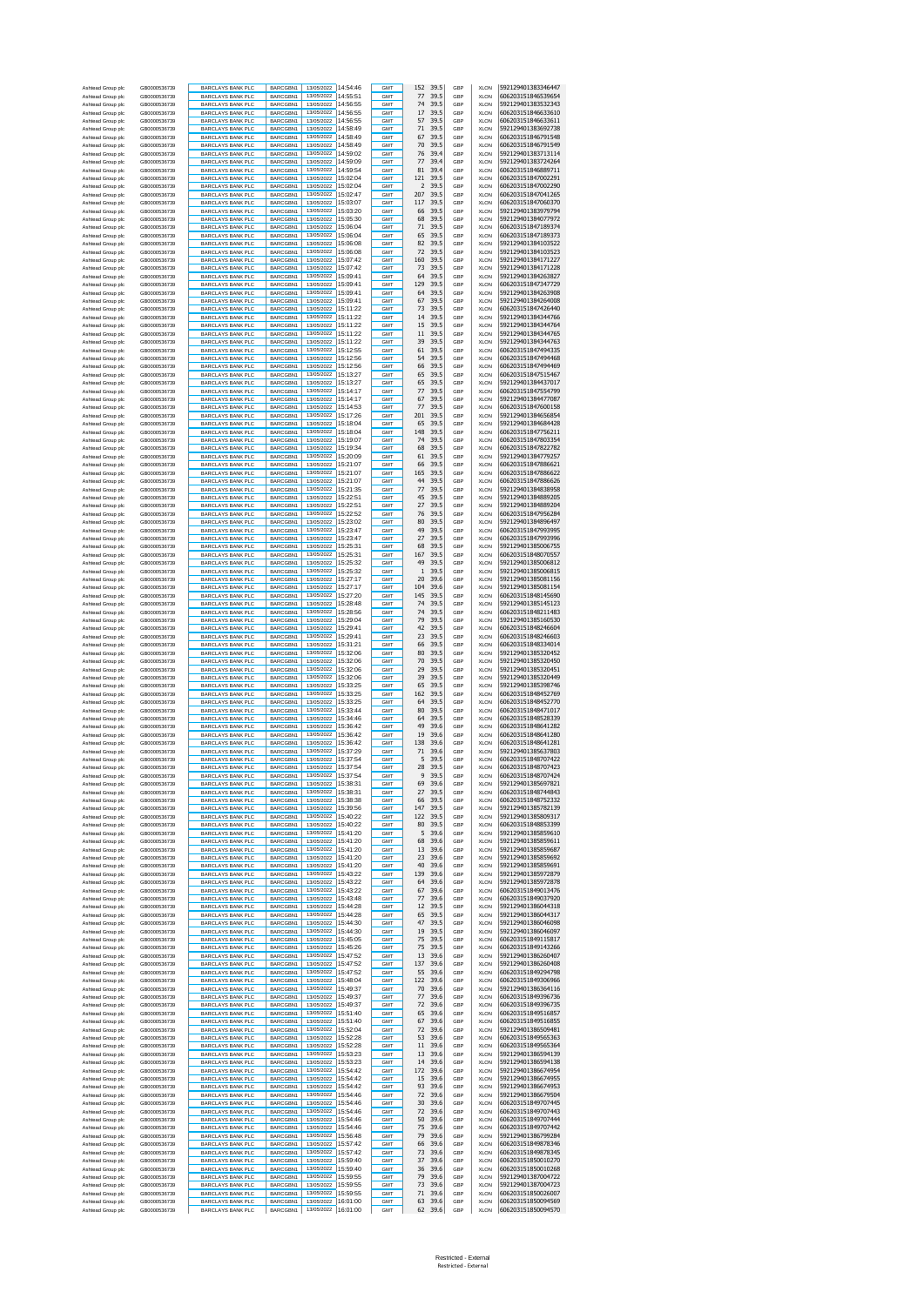| Ashtead Group plc                      | GB0000536739                 | <b>BARCLAYS BANK PLC</b>                             | BARCGBN1             | 13/05/2022                        | 14:54:46             | <b>GMT</b>               | 152<br>39.5                                     | GBP        | <b>XLON</b>                | 592129401383346447                       |
|----------------------------------------|------------------------------|------------------------------------------------------|----------------------|-----------------------------------|----------------------|--------------------------|-------------------------------------------------|------------|----------------------------|------------------------------------------|
| Ashtead Group plc<br>Ashtead Group plc | GB0000536739<br>GB0000536739 | <b>BARCLAYS BANK PLC</b><br><b>BARCLAYS BANK PLC</b> | BARCGBN1<br>BARCGBN1 | 13/05/2022<br>13/05/2022          | 14:55:51<br>14:56:55 | <b>GMT</b><br><b>GMT</b> | 77<br>39.5<br>74<br>39.5                        | GBP<br>GBP | <b>XLON</b><br><b>XLON</b> | 606203151846539654<br>592129401383532343 |
| Ashtead Group plc                      | GB0000536739                 | BARCLAYS BANK PLC                                    | BARCGBN1             | 13/05/2022                        | 14:56:55             | <b>GMT</b>               | 17<br>39.5                                      | GBP        | <b>XLON</b>                | 606203151846633610                       |
| Ashtead Group plc                      | GB0000536739                 | BARCLAYS BANK PLC                                    | BARCGBN1             | 13/05/2022                        | 14:56:55             | <b>GMT</b>               | 57<br>39.5                                      | GBP        | <b>XLON</b>                | 606203151846633611                       |
| Ashtead Group plc                      | GB0000536739                 | <b>BARCLAYS BANK PLC</b>                             | BARCGBN1             | 13/05/2022<br>13/05/2022          | 14:58:49             | <b>GMT</b>               | 71<br>39.5                                      | GBP        | <b>XLON</b>                | 592129401383692738                       |
| Ashtead Group plc<br>Ashtead Group plc | GB0000536739<br>GB0000536739 | <b>BARCLAYS BANK PLC</b><br>BARCLAYS BANK PLC        | BARCGBN1<br>BARCGBN1 | 13/05/2022                        | 14:58:49<br>14:58:49 | <b>GMT</b><br><b>GMT</b> | 67<br>39.5<br>70<br>39.5                        | GBP<br>GBP | <b>XLON</b><br><b>XLON</b> | 606203151846791548<br>606203151846791549 |
| Ashtead Group plc                      | GB0000536739                 | <b>BARCLAYS BANK PLC</b>                             | BARCGBN1             | 13/05/2022                        | 14:59:02             | <b>GMT</b>               | 76<br>39.4                                      | GBP        | <b>XLON</b>                | 592129401383713114                       |
| Ashtead Group plc                      | GB0000536739                 | <b>BARCLAYS BANK PLC</b>                             | BARCGBN1             | 13/05/2022                        | 14:59:09             | <b>GMT</b>               | 77<br>39.4                                      | GBP        | <b>XLON</b>                | 592129401383724264                       |
| Ashtead Group plc                      | GB0000536739                 | <b>BARCLAYS BANK PLC</b>                             | BARCGBN1             | 13/05/2022                        | 14:59:54             | <b>GMT</b>               | 81<br>39.4                                      | GBP        | <b>XLON</b>                | 606203151846889711                       |
| Ashtead Group plc                      | GB0000536739                 | <b>BARCLAYS BANK PLC</b><br><b>BARCLAYS BANK PLC</b> | BARCGBN1<br>BARCGBN1 | 13/05/2022<br>13/05/2022          | 15:02:04<br>15:02:04 | <b>GMT</b><br>GMT        | 121<br>39.5<br>$\overline{\phantom{a}}$<br>39.5 | GBP<br>GBP | <b>XLON</b><br><b>XLON</b> | 606203151847002291<br>606203151847002290 |
| Ashtead Group plo<br>Ashtead Group plc | GB0000536739<br>GB0000536739 | <b>BARCLAYS BANK PLC</b>                             | BARCGBN1             | 13/05/2022                        | 15:02:47             | GMT                      | 207<br>39.5                                     | GBP        | <b>XLON</b>                | 606203151847041265                       |
| Ashtead Group plo                      | GB0000536739                 | <b>BARCLAYS BANK PLC</b>                             | BARCGBN1             | 13/05/2022                        | 15:03:07             | GMT                      | 117<br>39.5                                     | GBP        | <b>XLON</b>                | 606203151847060370                       |
| Ashtead Group plc                      | GB0000536739                 | <b>BARCLAYS BANK PLC</b>                             | BARCGBN1             | 13/05/2022                        | 15:03:20             | <b>GMT</b>               | 66<br>39.5                                      | GBP        | <b>XLON</b>                | 592129401383979794                       |
| Ashtead Group plo                      | GB0000536739                 | <b>BARCLAYS BANK PLC</b>                             | BARCGBN1             | 13/05/2022<br>13/05/2022          | 15:05:30             | <b>GMT</b>               | 68<br>39.5<br>71                                | GBP        | <b>XLON</b>                | 592129401384077972                       |
| Ashtead Group plc<br>Ashtead Group plo | GB0000536739<br>GB0000536739 | <b>BARCLAYS BANK PLC</b><br><b>BARCLAYS BANK PLC</b> | BARCGBN1<br>BARCGBN1 | 13/05/2022                        | 15:06:04<br>15:06:04 | GMT<br>GMT               | 39.5<br>65<br>39.5                              | GBP<br>GBP | <b>XLON</b><br><b>XLON</b> | 606203151847189374<br>606203151847189373 |
| Ashtead Group plc                      | GB0000536739                 | <b>BARCLAYS BANK PLC</b>                             | BARCGBN1             | 13/05/2022                        | 15:06:08             | <b>GMT</b>               | 82<br>39.5                                      | GBP        | <b>XLON</b>                | 592129401384103522                       |
| Ashtead Group plo                      | GB0000536739                 | <b>BARCLAYS BANK PLC</b>                             | BARCGBN1             | 13/05/2022                        | 15:06:08             | GMT                      | 72<br>39.5                                      | GBP        | <b>XLON</b>                | 592129401384103523                       |
| Ashtead Group plc                      | GB0000536739                 | <b>BARCLAYS BANK PLC</b>                             | BARCGBN1             | 13/05/2022                        | 15:07:42             | GMT                      | 160<br>39.5                                     | GBP        | <b>XLON</b>                | 592129401384171227                       |
| Ashtead Group plo<br>Ashtead Group plc | GB0000536739<br>GB0000536739 | <b>BARCLAYS BANK PLC</b><br><b>BARCLAYS BANK PLC</b> | BARCGBN1<br>BARCGBN1 | 13/05/2022<br>13/05/2022          | 15:07:42<br>15:09:41 | GMT<br><b>GMT</b>        | 73<br>39.5<br>64<br>39.5                        | GBP<br>GBP | <b>XLON</b><br><b>XLON</b> | 592129401384171228<br>592129401384263827 |
| Ashtead Group plc                      | GB0000536739                 | BARCLAYS BANK PLC                                    | BARCGBN1             | 13/05/2022                        | 15:09:41             | <b>GMT</b>               | 129<br>39.5                                     | GBP        | <b>XLON</b>                | 606203151847347729                       |
| Ashtead Group plc                      | GB0000536739                 | <b>BARCLAYS BANK PLC</b>                             | BARCGBN1             | 13/05/2022                        | 15:09:41             | <b>GMT</b>               | 64<br>39.5                                      | GBP        | <b>XLON</b>                | 592129401384263908                       |
| Ashtead Group plc                      | GB0000536739                 | <b>BARCLAYS BANK PLC</b>                             | BARCGBN1             | 13/05/2022                        | 15:09:41             | <b>GMT</b>               | 67<br>39.5                                      | GBP        | <b>XLON</b>                | 592129401384264008                       |
| Ashtead Group plc                      | GB0000536739                 | <b>BARCLAYS BANK PLC</b>                             | BARCGBN1             | 13/05/2022                        | 15:11:22             | <b>GMT</b>               | 73<br>39.5                                      | GBP        | <b>XLON</b>                | 606203151847426440                       |
| Ashtead Group plc<br>Ashtead Group plc | GB0000536739<br>GB0000536739 | BARCLAYS BANK PLC<br>BARCLAYS BANK PLC               | BARCGBN1<br>BARCGBN1 | 13/05/2022<br>13/05/2022          | 15:11:22<br>15:11:22 | <b>GMT</b><br><b>GMT</b> | 14<br>39.5<br>15<br>39.5                        | GBP<br>GBP | <b>XLON</b><br><b>XLON</b> | 592129401384344766<br>592129401384344764 |
| Ashtead Group plc                      | GB0000536739                 | <b>BARCLAYS BANK PLC</b>                             | BARCGBN1             | 13/05/2022                        | 15:11:22             | <b>GMT</b>               | 11<br>39.5                                      | GBP        | <b>XLON</b>                | 592129401384344765                       |
| Ashtead Group plc                      | GB0000536739                 | <b>BARCLAYS BANK PLC</b>                             | BARCGBN1             | 13/05/2022                        | 15:11:22             | <b>GMT</b>               | 39<br>39.5                                      | GBP        | <b>XLON</b>                | 592129401384344763                       |
| Ashtead Group plc                      | GB0000536739                 | BARCLAYS BANK PLC                                    | BARCGBN1             | 13/05/2022                        | 15:12:55             | <b>GMT</b>               | 61<br>39.5                                      | GBP        | <b>XLON</b>                | 606203151847494335                       |
| Ashtead Group plc<br>Ashtead Group plc | GB0000536739<br>GB0000536739 | <b>BARCLAYS BANK PLC</b><br><b>BARCLAYS BANK PLC</b> | BARCGBN1<br>BARCGBN1 | 13/05/2022<br>13/05/2022          | 15:12:56<br>15:12:56 | <b>GMT</b><br><b>GMT</b> | 54<br>39.5<br>66<br>39.5                        | GBP<br>GBP | <b>XLON</b><br><b>XLON</b> | 606203151847494468<br>606203151847494469 |
| Ashtead Group plc                      | GB0000536739                 | <b>BARCLAYS BANK PLC</b>                             | BARCGBN1             | 13/05/2022                        | 15:13:27             | <b>GMT</b>               | 65<br>39.5                                      | GBP        | <b>XLON</b>                | 606203151847515467                       |
| Ashtead Group plc                      | GB0000536739                 | <b>BARCLAYS BANK PLC</b>                             | BARCGBN1             | 13/05/2022                        | 15:13:27             | GMT                      | 65<br>39.5                                      | GBP        | <b>XLON</b>                | 592129401384437017                       |
| Ashtead Group plo                      | GB0000536739                 | <b>BARCLAYS BANK PLC</b>                             | BARCGBN1             | 13/05/2022                        | 15:14:17             | GMT                      | 77<br>39.5                                      | GBP        | <b>XLON</b>                | 606203151847554799                       |
| Ashtead Group plc                      | GB0000536739                 | <b>BARCLAYS BANK PLC</b>                             | BARCGBN1             | 13/05/2022<br>13/05/2022          | 15:14:17<br>15:14:53 | GMT                      | 39.5<br>67<br>77<br>39.5                        | GBP        | <b>XLON</b>                | 592129401384477087                       |
| Ashtead Group plo<br>Ashtead Group plc | GB0000536739<br>GB0000536739 | <b>BARCLAYS BANK PLC</b><br><b>BARCLAYS BANK PLC</b> | BARCGBN1<br>BARCGBN1 | 13/05/2022                        | 15:17:26             | GMT<br><b>GMT</b>        | 201<br>39.5                                     | GBP<br>GBP | <b>XLON</b><br><b>XLON</b> | 606203151847600158<br>592129401384656854 |
| Ashtead Group plo                      | GB0000536739                 | <b>BARCLAYS BANK PLC</b>                             | BARCGBN1             | 13/05/2022                        | 15:18:04             | <b>GMT</b>               | 65<br>39.5                                      | GBP        | <b>XLON</b>                | 592129401384684428                       |
| Ashtead Group plc                      | GB0000536739                 | <b>BARCLAYS BANK PLC</b>                             | BARCGBN1             | 13/05/2022 15:18:04               |                      | GMT                      | 148<br>39.5                                     | GBP        | <b>XLON</b>                | 606203151847756211                       |
| Ashtead Group plo                      | GB0000536739                 | <b>BARCLAYS BANK PLC</b>                             | BARCGBN1             | 13/05/2022                        | 15:19:07             | GMT                      | 74<br>39.5                                      | GBP        | <b>XLON</b>                | 606203151847803354                       |
| Ashtead Group plc<br>Ashtead Group plo | GB0000536739                 | <b>BARCLAYS BANK PLC</b>                             | BARCGBN1             | 13/05/2022<br>13/05/2022          | 15:19:34<br>15:20:09 | <b>GMT</b><br><b>GMT</b> | 68<br>39.5<br>61<br>39.5                        | GBP<br>GBP | <b>XLON</b><br><b>XLON</b> | 606203151847822782<br>592129401384779257 |
| Ashtead Group plc                      | GB0000536739<br>GB0000536739 | BARCLAYS BANK PLC<br>BARCLAYS BANK PLC               | BARCGBN1<br>BARCGBN1 | 13/05/2022                        | 15:21:07             | <b>GMT</b>               | 39.5<br>66                                      | GBP        | <b>XLON</b>                | 606203151847886621                       |
| Ashtead Group plo                      | GB0000536739                 | BARCLAYS BANK PLC                                    | BARCGBN1             | 13/05/2022                        | 15:21:07             | GMT                      | 165<br>39.5                                     | GBP        | XLON                       | 606203151847886622                       |
| Ashtead Group plc                      | GB0000536739                 | <b>BARCLAYS BANK PLC</b>                             | BARCGBN1             | 13/05/2022                        | 15:21:07             | <b>GMT</b>               | 44<br>39.5                                      | GBP        | <b>XLON</b>                | 606203151847886626                       |
| Ashtead Group plc                      | GB0000536739                 | BARCLAYS BANK PLC                                    | BARCGBN1             | 13/05/2022                        | 15:21:35             | <b>GMT</b>               | 77<br>39.5                                      | GBP        | <b>XLON</b>                | 592129401384838958                       |
| Ashtead Group plc                      | GB0000536739<br>GB0000536739 | <b>BARCLAYS BANK PLC</b><br><b>BARCLAYS BANK PLC</b> | BARCGBN1             | 13/05/2022<br>13/05/2022          | 15:22:51<br>15:22:51 | <b>GMT</b><br><b>GMT</b> | 45<br>39.5<br>27<br>39.5                        | GBP<br>GBP | <b>XLON</b><br><b>XLON</b> | 592129401384889205<br>592129401384889204 |
| Ashtead Group plc<br>Ashtead Group plc | GB0000536739                 | <b>BARCLAYS BANK PLC</b>                             | BARCGBN1<br>BARCGBN1 | 13/05/2022                        | 15:22:52             | <b>GMT</b>               | 76<br>39.5                                      | GBP        | <b>XLON</b>                | 606203151847956284                       |
| Ashtead Group plc                      | GB0000536739                 | BARCLAYS BANK PLC                                    | BARCGBN1             | 13/05/2022                        | 15:23:02             | <b>GMT</b>               | 80<br>39.5                                      | GBP        | <b>XLON</b>                | 592129401384896497                       |
| Ashtead Group plc                      | GB0000536739                 | BARCLAYS BANK PLC                                    | BARCGBN1             | 13/05/2022                        | 15:23:47             | <b>GMT</b>               | 49<br>39.5                                      | GBP        | <b>XLON</b>                | 606203151847993995                       |
| Ashtead Group plc                      | GB0000536739                 | <b>BARCLAYS BANK PLC</b>                             | BARCGBN1             | 13/05/2022                        | 15:23:47             | <b>GMT</b>               | 27<br>39.5                                      | GBP        | <b>XLON</b>                | 606203151847993996                       |
| Ashtead Group plc<br>Ashtead Group plc | GB0000536739<br>GB0000536739 | <b>BARCLAYS BANK PLC</b><br>BARCLAYS BANK PLC        | BARCGBN1<br>BARCGBN1 | 13/05/2022<br>13/05/2022          | 15:25:31<br>15:25:31 | <b>GMT</b><br><b>GMT</b> | 68<br>39.5<br>167<br>39.5                       | GBP<br>GBP | <b>XLON</b><br><b>XLON</b> | 592129401385006755<br>606203151848070557 |
| Ashtead Group plc                      | GB0000536739                 | <b>BARCLAYS BANK PLC</b>                             | BARCGBN1             | 13/05/2022                        | 15:25:32             | <b>GMT</b>               | 49<br>39.5                                      | GBP        | <b>XLON</b>                | 592129401385006812                       |
| Ashtead Group plc                      | GB0000536739                 | <b>BARCLAYS BANK PLC</b>                             | BARCGBN1             | 13/05/2022                        | 15:25:32             | <b>GMT</b>               | $\mathbf{1}$<br>39.5                            | GBP        | <b>XLON</b>                | 592129401385006815                       |
| Ashtead Group plc                      | GB0000536739                 | <b>BARCLAYS BANK PLC</b>                             | BARCGBN1             | 13/05/2022                        | 15:27:17             | GMT                      | 20<br>39.6                                      | GBP        | <b>XLON</b>                | 592129401385081156                       |
| Ashtead Group plc                      | GB0000536739                 | <b>BARCLAYS BANK PLC</b>                             | BARCGBN1             | 13/05/2022<br>13/05/2022          | 15:27:17<br>15:27:20 | <b>GMT</b><br>GMT        | 104<br>39.6<br>39.5                             | GBP        | <b>XLON</b>                | 592129401385081154                       |
| Ashtead Group plo<br>Ashtead Group plc | GB0000536739<br>GB0000536739 | <b>BARCLAYS BANK PLC</b><br><b>BARCLAYS BANK PLC</b> | BARCGBN1<br>BARCGBN1 | 13/05/2022 15:28:48               |                      | GMT                      | 145<br>74<br>39.5                               | GBP<br>GBP | <b>XLON</b><br><b>XLON</b> | 606203151848145690<br>592129401385145123 |
| Ashtead Group plo                      | GB0000536739                 | <b>BARCLAYS BANK PLC</b>                             | BARCGBN1             | 13/05/2022                        | 15:28:56             | GMT                      | 74<br>39.5                                      | GBP        | <b>XLON</b>                | 606203151848211483                       |
| Ashtead Group plc                      | GB0000536739                 | <b>BARCLAYS BANK PLC</b>                             | BARCGBN1             | 13/05/2022                        | 15:29:04             | <b>GMT</b>               | 79<br>39.5                                      | GBP        | <b>XLON</b>                | 592129401385160530                       |
| Ashtead Group plo                      | GB0000536739                 | <b>BARCLAYS BANK PLC</b>                             | BARCGBN1             | 13/05/2022                        | 15:29:41             | <b>GMT</b>               | 42<br>39.5                                      | GBP        | <b>XLON</b>                | 606203151848246604                       |
| Ashtead Group plc<br>Ashtead Group plc | GB0000536739<br>GB0000536739 | <b>BARCLAYS BANK PLC</b><br><b>BARCLAYS BANK PLC</b> | BARCGBN1<br>BARCGBN1 | 13/05/2022 15:29:41<br>13/05/2022 | 15:31:21             | <b>GMT</b><br>GMT        | 23<br>39.5<br>66<br>39.5                        | GBP<br>GBP | <b>XLON</b><br><b>XLON</b> | 606203151848246603<br>606203151848334014 |
| Ashtead Group plc                      | GB0000536739                 | <b>BARCLAYS BANK PLC</b>                             | BARCGBN1             | 13/05/2022                        | 15:32:06             | <b>GMT</b>               | 80<br>39.5                                      | GBP        | <b>XLON</b>                | 592129401385320452                       |
| Ashtead Group plo                      | GB0000536739                 | BARCLAYS BANK PLC                                    | BARCGBN1             | 13/05/2022                        | 15:32:06             | <b>GMT</b>               | 70<br>39.5                                      | GBP        | <b>XLON</b>                | 592129401385320450                       |
| Ashtead Group plc                      | GB0000536739                 | BARCLAYS BANK PLC                                    | BARCGBN1             | 13/05/2022                        | 15:32:06             | <b>GMT</b>               | 29<br>39.5                                      | GBP        | <b>XLON</b>                | 592129401385320451                       |
| Ashtead Group plc<br>Ashtead Group plc | GB0000536739<br>GB0000536739 | <b>BARCLAYS BANK PLC</b><br><b>BARCLAYS BANK PLC</b> | BARCGBN1<br>BARCGBN1 | 13/05/2022<br>13/05/2022          | 15:32:06<br>15:33:25 | GMT<br><b>GMT</b>        | 39<br>39.5<br>65<br>39.5                        | GBP<br>GBP | <b>XLON</b><br><b>XLON</b> | 592129401385320449<br>592129401385398746 |
| Ashtead Group plc                      | GB0000536739                 | BARCLAYS BANK PLC                                    | BARCGBN1             | 13/05/2022                        | 15:33:25             | <b>GMT</b>               | 162<br>39.5                                     | GBP        | <b>XLON</b>                | 606203151848452769                       |
| Ashtead Group plc                      | GB0000536739                 | <b>BARCLAYS BANK PLC</b>                             | BARCGBN1             | 13/05/2022                        | 15:33:25             | <b>GMT</b>               | 64<br>39.5                                      | GBP        | <b>XLON</b>                | 606203151848452770                       |
| Ashtead Group plc                      | GB0000536739                 | <b>BARCLAYS BANK PLC</b>                             | BARCGBN1             | 13/05/2022                        | 15:33:44             | <b>GMT</b>               | 80<br>39.5                                      | GBP        | <b>XLON</b>                | 606203151848471017                       |
| Ashtead Group plc                      | GB0000536739                 | <b>BARCLAYS BANK PLC</b>                             | BARCGBN1             | 13/05/2022<br>13/05/2022          | 15:34:46<br>15:36:42 | <b>GMT</b>               | 64<br>39.5                                      | GBP        | <b>XLON</b>                | 606203151848528339                       |
| Ashtead Group plc<br>Ashtead Group plc | GB0000536739<br>GB0000536739 | BARCLAYS BANK PLC<br>BARCLAYS BANK PLC               | BARCGBN1<br>BARCGBN1 | 13/05/2022                        | 15:36:42             | <b>GMT</b><br><b>GMT</b> | 49<br>39.6<br>19<br>39.6                        | GBP<br>GBP | <b>XLON</b><br><b>XLON</b> | 606203151848641282<br>606203151848641280 |
| Ashtead Group plc                      | GB0000536739                 | <b>BARCLAYS BANK PLC</b>                             | BARCGBN1             | 13/05/2022                        | 15:36:42             | GMT                      | 138<br>39.6                                     | GBP        | <b>XLON</b>                | 606203151848641281                       |
| Ashtead Group plc                      | GB0000536739                 | <b>BARCLAYS BANK PLC</b>                             | BARCGBN1             | 13/05/2022                        | 15:37:29             | <b>GMT</b>               | 71<br>39.6                                      | GBP        | <b>XLON</b>                | 592129401385637803                       |
| Ashtead Group plc                      | GB0000536739<br>GB0000536739 | <b>BARCLAYS BANK PLC</b>                             | BARCGBN1             | 13/05/2022<br>13/05/2022 15:37:54 | 15:37:54             | <b>GMT</b>               | 5<br>39.5<br>28<br>39.5                         | GBP        | <b>XLON</b>                | 606203151848707422<br>606203151848707423 |
| Ashtead Group plc<br>Ashtead Group plc | GB0000536739                 | <b>BARCLAYS BANK PLC</b><br><b>BARCLAYS BANK PLC</b> | BARCGBN1<br>BARCGBN1 | 13/05/2022 15:37:54               |                      | <b>GMT</b><br>GMT        | 9<br>39.5                                       | GBP<br>GBP | <b>XLON</b><br><b>XLON</b> | 606203151848707424                       |
| Ashtead Group plc                      | GB0000536739                 | <b>BARCLAYS BANK PLO</b>                             | BARCGBN1             | 13/05/2022                        | 15:38:31             | GMT                      | 69<br>39.6                                      | GBP        | XI ON                      | 592129401385697821                       |
| Ashtead Group plc                      | GB0000536739                 | <b>BARCLAYS BANK PLC</b>                             | BARCGBN1             | 13/05/2022                        | 15:38:31             | <b>GMT</b>               | 27<br>39.5                                      | GBP        | XLON                       | 606203151848744843                       |
| Ashtead Group plc                      | GB0000536739                 | <b>BARCLAYS BANK PLC</b>                             | BARCGBN1             | 13/05/2022                        | 15:38:38             | GMT                      | 66<br>39.5                                      | GBP        | <b>XLON</b>                | 606203151848752332                       |
| Ashtead Group plc                      | GB0000536739<br>GB0000536739 | <b>BARCLAYS BANK PLC</b>                             | BARCGBN1             | 13/05/2022 15:39:56<br>13/05/2022 | 15:40:22             | GMT<br>GMT               | 147<br>39.5<br>122<br>39.5                      | GBP<br>GBP | XLON<br><b>XLON</b>        | 592129401385782139<br>592129401385809317 |
| Ashtead Group plc<br>Ashtead Group plc | GB0000536739                 | <b>BARCLAYS BANK PLC</b><br><b>BARCLAYS BANK PLC</b> | BARCGBN1<br>BARCGBN1 | 13/05/2022                        | 15:40:22             | GMT                      | 80<br>39.5                                      | GBP        | XLON                       | 606203151848853399                       |
| Ashtead Group plc                      | GB0000536739                 | <b>BARCLAYS BANK PLC</b>                             | BARCGBN1             | 13/05/2022                        | 15:41:20             | GMT                      | 5<br>39.6                                       | GBP        | <b>XLON</b>                | 592129401385859610                       |
| Ashtead Group plc                      | GB0000536739                 | <b>BARCLAYS BANK PLC</b>                             | BARCGBN1             | 13/05/2022                        | 15:41:20             | GMT                      | 68<br>39.6                                      | GBP        | XLON                       | 592129401385859611                       |
| Ashtead Group plc<br>Ashtead Group plc | GB0000536739<br>GB0000536739 | <b>BARCLAYS BANK PLC</b><br><b>BARCLAYS BANK PLC</b> | BARCGBN1<br>BARCGBN1 | 13/05/2022<br>13/05/2022          | 15:41:20<br>15:41:20 | GMT<br>GMT               | 13<br>39.6<br>23<br>39.6                        | GBP<br>GBP | XLON<br>XLON               | 592129401385859687<br>592129401385859692 |
| Ashtead Group plc                      | GB0000536739                 | BARCLAYS BANK PLC                                    | BARCGBN1             | 13/05/2022                        | 15:41:20             | <b>GMT</b>               | 40<br>39.6                                      | GBP        | <b>XLON</b>                | 592129401385859691                       |
| Ashtead Group plc                      | GB0000536739                 | <b>BARCLAYS BANK PLC</b>                             | BARCGBN1             | 13/05/2022                        | 15:43:22             | <b>GMT</b>               | 139<br>39.6                                     | GBP        | <b>XLON</b>                | 592129401385972879                       |
| Ashtead Group plc                      | GB0000536739                 | <b>BARCLAYS BANK PLC</b>                             | BARCGBN1             | 13/05/2022                        | 15:43:22             | GMT                      | 64<br>39.6                                      | GBP        | <b>XLON</b>                | 592129401385972878                       |
| Ashtead Group plc<br>Ashtead Group plc | GR0000536739<br>GB0000536739 | <b>BARCLAYS BANK PLC</b><br><b>BARCLAYS BANK PLC</b> | BARCGBN1<br>BARCGBN1 | 13/05/2022<br>13/05/2022          | 15:43:22<br>15:43:48 | <b>GMT</b><br><b>GMT</b> | 67<br>39.6<br>77<br>39.6                        | GBP<br>GBP | <b>XLON</b><br><b>XLON</b> | 606203151849013476<br>606203151849037920 |
| Ashtead Group plc                      | GB0000536739                 | <b>BARCLAYS BANK PLC</b>                             | BARCGBN1             | 13/05/2022                        | 15:44:28             | <b>GMT</b>               | 12<br>39.5                                      | GBP        | <b>XLON</b>                | 592129401386044318                       |
| Ashtead Group plc                      | GB0000536739                 | <b>BARCLAYS BANK PLC</b>                             | BARCGBN1             | 13/05/2022                        | 15:44:28             | <b>GMT</b>               | 65<br>39.5                                      | GBP        | <b>XLON</b>                | 592129401386044317                       |
| Ashtead Group plc                      | GB0000536739                 | <b>BARCLAYS BANK PLC</b>                             | BARCGBN1             | 13/05/2022                        | 15:44:30             | <b>GMT</b>               | 47<br>39.5                                      | GBP        | <b>XLON</b>                | 592129401386046098                       |
| Ashtead Group plc                      | GB0000536739                 | <b>BARCLAYS BANK PLC</b>                             | BARCGBN1             | 13/05/2022                        | 15:44:30<br>15:45:05 | <b>GMT</b>               | 19<br>39.5                                      | GBP        | <b>XLON</b>                | 592129401386046097                       |
| Ashtead Group plc<br>Ashtead Group plc | GB0000536739<br>GB0000536739 | <b>BARCLAYS BANK PLC</b><br><b>BARCLAYS BANK PLC</b> | BARCGBN1<br>BARCGBN1 | 13/05/2022<br>13/05/2022          | 15:45:26             | <b>GMT</b><br>GMT        | 75<br>39.5<br>75<br>39.5                        | GBP<br>GBP | <b>XLON</b><br><b>XLON</b> | 606203151849115817<br>606203151849143266 |
| Ashtead Group plc                      | GR0000536739                 | <b>BARCLAYS BANK PLC</b>                             | BARCGBN1             | 13/05/2022                        | 15:47:52             | <b>GMT</b>               | 13<br>39.6                                      | GBP        | <b>XLON</b>                | 592129401386260407                       |
| Ashtead Group plc                      | GB0000536739                 | <b>BARCLAYS BANK PLC</b>                             | BARCGBN1             | 13/05/2022                        | 15:47:52             | GMT                      | 137<br>39.6                                     | GBP        | <b>XLON</b>                | 592129401386260408                       |
| Ashtead Group plc                      | GB0000536739                 | <b>BARCLAYS BANK PLC</b>                             | BARCGBN1             | 13/05/2022                        | 15:47:52             | GMT                      | 55<br>39.6                                      | GBP        | XLON                       | 606203151849294798                       |
| Ashtead Group plc<br>Ashtead Group plc | GB0000536739<br>GB0000536739 | <b>BARCLAYS BANK PLC</b><br><b>BARCLAYS BANK PLC</b> | BARCGBN1<br>BARCGBN1 | 13/05/2022<br>13/05/2022          | 15:48:04<br>15:49:37 | GMT<br>GMT               | 122<br>39.6<br>70<br>39.6                       | GBP<br>GBP | XLON<br><b>XLON</b>        | 606203151849306966<br>592129401386364116 |
| Ashtead Group plc                      | GB0000536739                 | <b>BARCLAYS BANK PLC</b>                             | BARCGBN1             | 13/05/2022                        | 15:49:37             | GMT                      | 77<br>39.6                                      | GBP        | XLON                       | 606203151849396736                       |
| Ashtead Group plc                      |                              |                                                      |                      | 13/05/2022                        | 15:49:37             | GMT                      | 72<br>39.6                                      | GBP        | <b>XLON</b>                | 606203151849396735                       |
| Ashtead Group plc                      | GB0000536739                 | <b>BARCLAYS BANK PLC</b>                             | BARCGBN1             |                                   |                      |                          |                                                 |            |                            |                                          |
| Ashtead Group plc<br>Ashtead Group plc | GB0000536739                 | <b>BARCLAYS BANK PLC</b>                             | BARCGBN1             | 13/05/2022 15:51:40               |                      | GMT                      | 39.6<br>65                                      | GBP        | XLON                       | 606203151849516857                       |
|                                        | GB0000536739                 | <b>BARCLAYS BANK PLC</b>                             | BARCGBN1             | 13/05/2022                        | 15:51:40             | GMT                      | 67<br>39.6                                      | GBP        | <b>XLON</b>                | 606203151849516855                       |
| Ashtead Group plc                      | GB0000536739<br>GB0000536739 | <b>BARCLAYS BANK PLC</b>                             | BARCGBN1             | 13/05/2022<br>13/05/2022          | 15:52:04<br>15:52:28 | GMT<br>GMT               | 72<br>39.6<br>53<br>39.6                        | GBP<br>GBP | XLON<br><b>XLON</b>        | 592129401386509481<br>606203151849565363 |
| Ashtead Group plc                      | GB0000536739                 | <b>BARCLAYS BANK PLC</b><br><b>BARCLAYS BANK PLC</b> | BARCGBN1<br>BARCGBN1 | 13/05/2022                        | 15:52:28             | <b>GMT</b>               | 39.6<br>11                                      | GBP        | XLON                       | 606203151849565364                       |
| Ashtead Group plc                      | GB0000536739                 | BARCLAYS BANK PLC                                    | BARCGBN1             | 13/05/2022                        | 15:53:23             | GMT                      | 13<br>39.6                                      | GBP        | <b>XLON</b>                | 592129401386594139                       |
| Ashtead Group plc                      | GB0000536739                 | <b>BARCLAYS BANK PLC</b>                             | BARCGBN1             | 13/05/2022                        | 15:53:23             | <b>GMT</b>               | 14<br>39.6                                      | GBP        | <b>XLON</b>                | 592129401386594138                       |
| Ashtead Group plc                      | GB0000536739                 | <b>BARCLAYS BANK PLC</b>                             | BARCGBN1             | 13/05/2022                        | 15:54:42             | <b>GMT</b>               | 172<br>39.6                                     | GBP        | <b>XLON</b>                | 592129401386674954                       |
| Ashtead Group plc<br>Ashtead Group plc | GB0000536739<br>GB0000536739 | BARCLAYS BANK PLC<br><b>BARCLAYS BANK PLC</b>        | BARCGBN1<br>BARCGBN1 | 13/05/2022<br>13/05/2022          | 15:54:42<br>15:54:42 | <b>GMT</b><br>GMT        | 39.6<br>15<br>93<br>39.6                        | GBP<br>GBP | <b>XLON</b><br><b>XLON</b> | 592129401386674955<br>592129401386674953 |
| Ashtead Group plc                      | GB0000536739                 | <b>BARCLAYS BANK PLC</b>                             | BARCGBN1             | 13/05/2022                        | 15:54:46             | <b>GMT</b>               | 72<br>39.6                                      | GBP        | <b>XLON</b>                | 592129401386679504                       |
| Ashtead Group plc                      | GB0000536739                 | <b>BARCLAYS BANK PLC</b>                             | BARCGBN1             | 13/05/2022                        | 15:54:46             | <b>GMT</b>               | 30<br>39.6                                      | GBP        | <b>XLON</b>                | 606203151849707445                       |
| Ashtead Group plc                      | GB0000536739                 | <b>BARCLAYS BANK PLC</b>                             | BARCGBN1             | 13/05/2022                        | 15:54:46             | <b>GMT</b>               | 72<br>39.6                                      | GBP        | <b>XLON</b>                | 606203151849707443                       |
| Ashtead Group plc<br>Ashtead Group plc | GB0000536739<br>GB0000536739 | <b>BARCLAYS BANK PLC</b><br><b>BARCLAYS BANK PLC</b> | BARCGBN1<br>BARCGBN1 | 13/05/2022<br>13/05/2022          | 15:54:46<br>15:54:46 | <b>GMT</b><br><b>GMT</b> | 50<br>39.6<br>75<br>39.6                        | GBP<br>GBP | <b>XLON</b><br><b>XLON</b> | 606203151849707444<br>606203151849707442 |
| Ashtead Group plc                      | GB0000536739                 | <b>BARCLAYS BANK PLC</b>                             | BARCGBN1             | 13/05/2022                        | 15:56:48             | <b>GMT</b>               | 79<br>39.6                                      | GBP        | <b>XLON</b>                | 592129401386799284                       |
| Ashtead Group plc                      | GB0000536739                 | <b>BARCLAYS BANK PLC</b>                             | BARCGBN1             | 13/05/2022                        | 15:57:42             | <b>GMT</b>               | 39.6<br>66                                      | GBP        | <b>XLON</b>                | 606203151849878346                       |
| Ashtead Group plc                      | GB0000536739                 | <b>BARCLAYS BANK PLC</b>                             | BARCGBN1             | 13/05/2022                        | 15:57:42             | GMT                      | 73<br>39.6                                      | GBP        | <b>XLON</b>                | 606203151849878345                       |
| Ashtead Group plc<br>Ashtead Group plc | GB0000536739<br>GB0000536739 | <b>BARCLAYS BANK PLC</b><br><b>BARCLAYS BANK PLC</b> | BARCGBN1<br>BARCGBN1 | 13/05/2022<br>13/05/2022          | 15:59:40<br>15:59:40 | GMT                      | 37<br>39.6                                      | GBP<br>GBP | <b>XLON</b><br><b>XLON</b> | 606203151850010270                       |
| Ashtead Group plc                      | GB0000536739                 | <b>BARCLAYS BANK PLC</b>                             | BARCGBN1             | 13/05/2022                        | 15:59:55             | GMT<br>GMT               | 36<br>39.6<br>79<br>39.6                        | GBP        | <b>XLON</b>                | 606203151850010268<br>592129401387004722 |
| Ashtead Group plc                      | GB0000536739                 | <b>BARCLAYS BANK PLC</b>                             | BARCGBN1             | 13/05/2022                        | 15:59:55             | GMT                      | 73<br>39.6                                      | GBP        | <b>XLON</b>                | 592129401387004723                       |
| Ashtead Group plc<br>Ashtead Group plc | GB0000536739<br>GB0000536739 | <b>BARCLAYS BANK PLC</b><br><b>BARCLAYS BANK PLC</b> | BARCGBN1<br>BARCGBN1 | 13/05/2022<br>13/05/2022          | 15:59:55<br>16:01:00 | GMT<br>GMT               | 71<br>39.6<br>63<br>39.6                        | GBP<br>GBP | <b>XLON</b><br><b>XLON</b> | 606203151850026007<br>606203151850094569 |